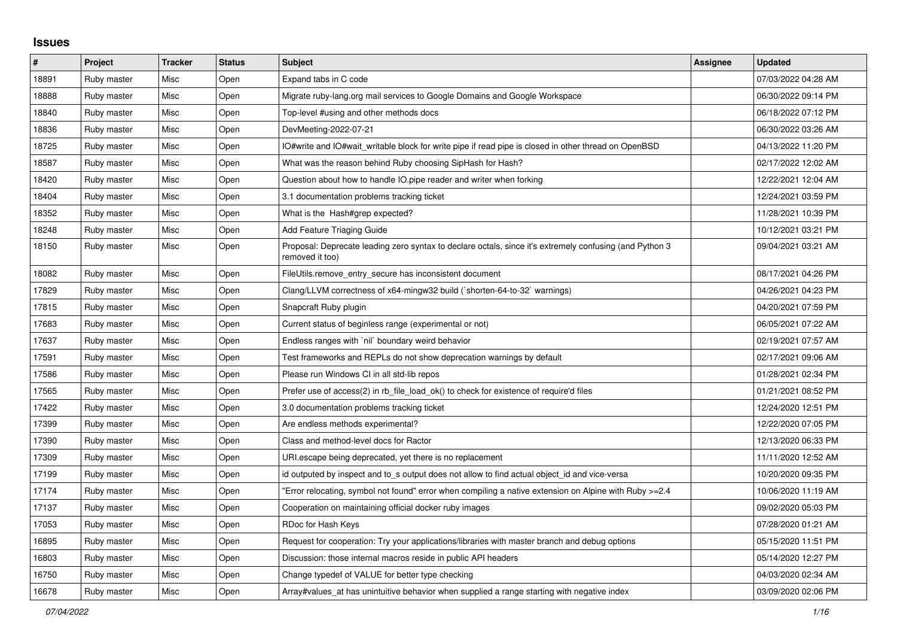## **Issues**

| #     | <b>Project</b> | <b>Tracker</b> | <b>Status</b> | <b>Subject</b>                                                                                                             | Assignee | <b>Updated</b>      |
|-------|----------------|----------------|---------------|----------------------------------------------------------------------------------------------------------------------------|----------|---------------------|
| 18891 | Ruby master    | Misc           | Open          | Expand tabs in C code                                                                                                      |          | 07/03/2022 04:28 AM |
| 18888 | Ruby master    | Misc           | Open          | Migrate ruby-lang.org mail services to Google Domains and Google Workspace                                                 |          | 06/30/2022 09:14 PM |
| 18840 | Ruby master    | Misc           | Open          | Top-level #using and other methods docs                                                                                    |          | 06/18/2022 07:12 PM |
| 18836 | Ruby master    | Misc           | Open          | DevMeeting-2022-07-21                                                                                                      |          | 06/30/2022 03:26 AM |
| 18725 | Ruby master    | Misc           | Open          | O#write and IO#wait_writable block for write pipe if read pipe is closed in other thread on OpenBSD                        |          | 04/13/2022 11:20 PM |
| 18587 | Ruby master    | Misc           | Open          | What was the reason behind Ruby choosing SipHash for Hash?                                                                 |          | 02/17/2022 12:02 AM |
| 18420 | Ruby master    | Misc           | Open          | Question about how to handle IO.pipe reader and writer when forking                                                        |          | 12/22/2021 12:04 AM |
| 18404 | Ruby master    | Misc           | Open          | 3.1 documentation problems tracking ticket                                                                                 |          | 12/24/2021 03:59 PM |
| 18352 | Ruby master    | Misc           | Open          | What is the Hash#grep expected?                                                                                            |          | 11/28/2021 10:39 PM |
| 18248 | Ruby master    | Misc           | Open          | <b>Add Feature Triaging Guide</b>                                                                                          |          | 10/12/2021 03:21 PM |
| 18150 | Ruby master    | Misc           | Open          | Proposal: Deprecate leading zero syntax to declare octals, since it's extremely confusing (and Python 3<br>removed it too) |          | 09/04/2021 03:21 AM |
| 18082 | Ruby master    | Misc           | Open          | FileUtils.remove_entry_secure has inconsistent document                                                                    |          | 08/17/2021 04:26 PM |
| 17829 | Ruby master    | Misc           | Open          | Clang/LLVM correctness of x64-mingw32 build (`shorten-64-to-32` warnings)                                                  |          | 04/26/2021 04:23 PM |
| 17815 | Ruby master    | Misc           | Open          | Snapcraft Ruby plugin                                                                                                      |          | 04/20/2021 07:59 PM |
| 17683 | Ruby master    | Misc           | Open          | Current status of beginless range (experimental or not)                                                                    |          | 06/05/2021 07:22 AM |
| 17637 | Ruby master    | Misc           | Open          | Endless ranges with `nil` boundary weird behavior                                                                          |          | 02/19/2021 07:57 AM |
| 17591 | Ruby master    | Misc           | Open          | Test frameworks and REPLs do not show deprecation warnings by default                                                      |          | 02/17/2021 09:06 AM |
| 17586 | Ruby master    | Misc           | Open          | Please run Windows CI in all std-lib repos                                                                                 |          | 01/28/2021 02:34 PM |
| 17565 | Ruby master    | Misc           | Open          | Prefer use of access(2) in rb file load ok() to check for existence of require'd files                                     |          | 01/21/2021 08:52 PM |
| 17422 | Ruby master    | Misc           | Open          | 3.0 documentation problems tracking ticket                                                                                 |          | 12/24/2020 12:51 PM |
| 17399 | Ruby master    | Misc           | Open          | Are endless methods experimental?                                                                                          |          | 12/22/2020 07:05 PM |
| 17390 | Ruby master    | Misc           | Open          | Class and method-level docs for Ractor                                                                                     |          | 12/13/2020 06:33 PM |
| 17309 | Ruby master    | Misc           | Open          | URI escape being deprecated, yet there is no replacement                                                                   |          | 11/11/2020 12:52 AM |
| 17199 | Ruby master    | Misc           | Open          | id outputed by inspect and to_s output does not allow to find actual object_id and vice-versa                              |          | 10/20/2020 09:35 PM |
| 17174 | Ruby master    | Misc           | Open          | Error relocating, symbol not found" error when compiling a native extension on Alpine with Ruby >=2.4                      |          | 10/06/2020 11:19 AM |
| 17137 | Ruby master    | Misc           | Open          | Cooperation on maintaining official docker ruby images                                                                     |          | 09/02/2020 05:03 PM |
| 17053 | Ruby master    | Misc           | Open          | RDoc for Hash Keys                                                                                                         |          | 07/28/2020 01:21 AM |
| 16895 | Ruby master    | Misc           | Open          | Request for cooperation: Try your applications/libraries with master branch and debug options                              |          | 05/15/2020 11:51 PM |
| 16803 | Ruby master    | Misc           | Open          | Discussion: those internal macros reside in public API headers                                                             |          | 05/14/2020 12:27 PM |
| 16750 | Ruby master    | Misc           | Open          | Change typedef of VALUE for better type checking                                                                           |          | 04/03/2020 02:34 AM |
| 16678 | Ruby master    | Misc           | Open          | Array#values at has unintuitive behavior when supplied a range starting with negative index                                |          | 03/09/2020 02:06 PM |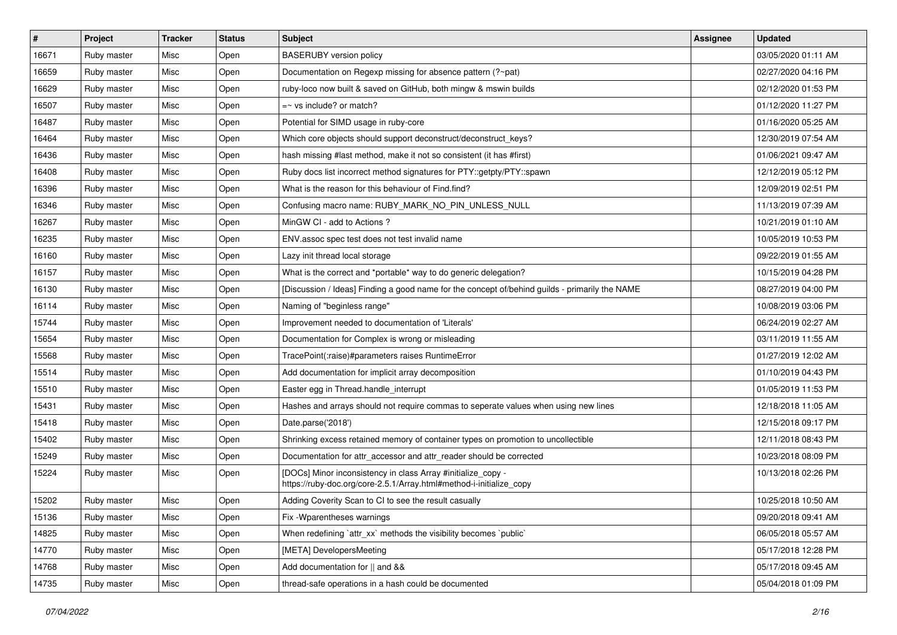| $\vert$ # | Project     | <b>Tracker</b> | <b>Status</b> | Subject                                                                                                                             | <b>Assignee</b> | <b>Updated</b>      |
|-----------|-------------|----------------|---------------|-------------------------------------------------------------------------------------------------------------------------------------|-----------------|---------------------|
| 16671     | Ruby master | Misc           | Open          | <b>BASERUBY</b> version policy                                                                                                      |                 | 03/05/2020 01:11 AM |
| 16659     | Ruby master | Misc           | Open          | Documentation on Regexp missing for absence pattern (?~pat)                                                                         |                 | 02/27/2020 04:16 PM |
| 16629     | Ruby master | Misc           | Open          | ruby-loco now built & saved on GitHub, both mingw & mswin builds                                                                    |                 | 02/12/2020 01:53 PM |
| 16507     | Ruby master | Misc           | Open          | $=$ vs include? or match?                                                                                                           |                 | 01/12/2020 11:27 PM |
| 16487     | Ruby master | Misc           | Open          | Potential for SIMD usage in ruby-core                                                                                               |                 | 01/16/2020 05:25 AM |
| 16464     | Ruby master | Misc           | Open          | Which core objects should support deconstruct/deconstruct_keys?                                                                     |                 | 12/30/2019 07:54 AM |
| 16436     | Ruby master | Misc           | Open          | hash missing #last method, make it not so consistent (it has #first)                                                                |                 | 01/06/2021 09:47 AM |
| 16408     | Ruby master | Misc           | Open          | Ruby docs list incorrect method signatures for PTY::getpty/PTY::spawn                                                               |                 | 12/12/2019 05:12 PM |
| 16396     | Ruby master | Misc           | Open          | What is the reason for this behaviour of Find.find?                                                                                 |                 | 12/09/2019 02:51 PM |
| 16346     | Ruby master | Misc           | Open          | Confusing macro name: RUBY_MARK_NO_PIN_UNLESS_NULL                                                                                  |                 | 11/13/2019 07:39 AM |
| 16267     | Ruby master | Misc           | Open          | MinGW CI - add to Actions ?                                                                                                         |                 | 10/21/2019 01:10 AM |
| 16235     | Ruby master | Misc           | Open          | ENV assoc spec test does not test invalid name                                                                                      |                 | 10/05/2019 10:53 PM |
| 16160     | Ruby master | Misc           | Open          | Lazy init thread local storage                                                                                                      |                 | 09/22/2019 01:55 AM |
| 16157     | Ruby master | Misc           | Open          | What is the correct and *portable* way to do generic delegation?                                                                    |                 | 10/15/2019 04:28 PM |
| 16130     | Ruby master | Misc           | Open          | [Discussion / Ideas] Finding a good name for the concept of/behind guilds - primarily the NAME                                      |                 | 08/27/2019 04:00 PM |
| 16114     | Ruby master | Misc           | Open          | Naming of "beginless range"                                                                                                         |                 | 10/08/2019 03:06 PM |
| 15744     | Ruby master | Misc           | Open          | Improvement needed to documentation of 'Literals'                                                                                   |                 | 06/24/2019 02:27 AM |
| 15654     | Ruby master | Misc           | Open          | Documentation for Complex is wrong or misleading                                                                                    |                 | 03/11/2019 11:55 AM |
| 15568     | Ruby master | Misc           | Open          | TracePoint(:raise)#parameters raises RuntimeError                                                                                   |                 | 01/27/2019 12:02 AM |
| 15514     | Ruby master | Misc           | Open          | Add documentation for implicit array decomposition                                                                                  |                 | 01/10/2019 04:43 PM |
| 15510     | Ruby master | Misc           | Open          | Easter egg in Thread.handle_interrupt                                                                                               |                 | 01/05/2019 11:53 PM |
| 15431     | Ruby master | Misc           | Open          | Hashes and arrays should not require commas to seperate values when using new lines                                                 |                 | 12/18/2018 11:05 AM |
| 15418     | Ruby master | Misc           | Open          | Date.parse('2018')                                                                                                                  |                 | 12/15/2018 09:17 PM |
| 15402     | Ruby master | Misc           | Open          | Shrinking excess retained memory of container types on promotion to uncollectible                                                   |                 | 12/11/2018 08:43 PM |
| 15249     | Ruby master | Misc           | Open          | Documentation for attr_accessor and attr_reader should be corrected                                                                 |                 | 10/23/2018 08:09 PM |
| 15224     | Ruby master | Misc           | Open          | [DOCs] Minor inconsistency in class Array #initialize_copy -<br>https://ruby-doc.org/core-2.5.1/Array.html#method-i-initialize_copy |                 | 10/13/2018 02:26 PM |
| 15202     | Ruby master | Misc           | Open          | Adding Coverity Scan to CI to see the result casually                                                                               |                 | 10/25/2018 10:50 AM |
| 15136     | Ruby master | Misc           | Open          | Fix - Wparentheses warnings                                                                                                         |                 | 09/20/2018 09:41 AM |
| 14825     | Ruby master | Misc           | Open          | When redefining 'attr_xx' methods the visibility becomes 'public'                                                                   |                 | 06/05/2018 05:57 AM |
| 14770     | Ruby master | Misc           | Open          | [META] DevelopersMeeting                                                                                                            |                 | 05/17/2018 12:28 PM |
| 14768     | Ruby master | Misc           | Open          | Add documentation for    and &&                                                                                                     |                 | 05/17/2018 09:45 AM |
| 14735     | Ruby master | Misc           | Open          | thread-safe operations in a hash could be documented                                                                                |                 | 05/04/2018 01:09 PM |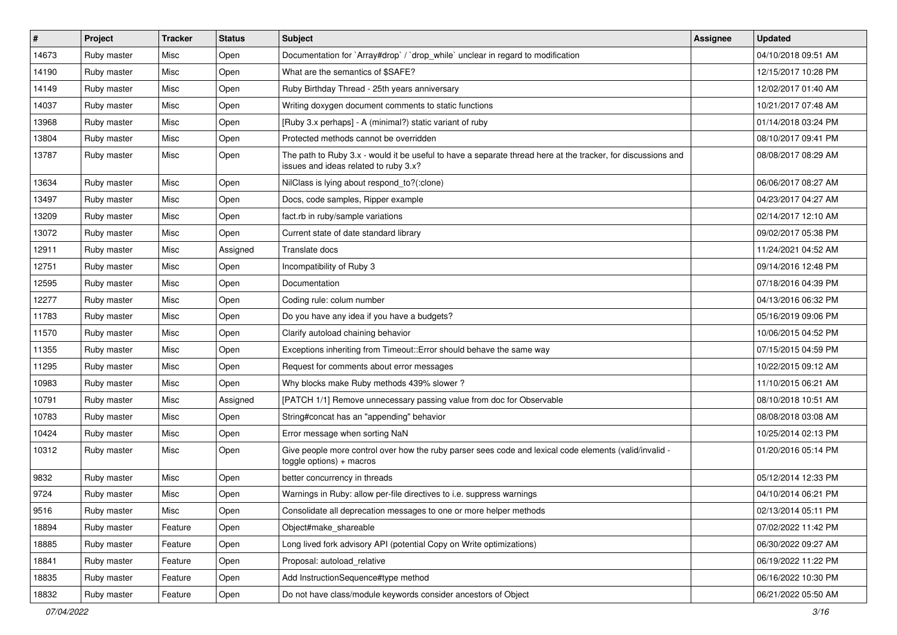| $\vert$ # | Project     | <b>Tracker</b> | <b>Status</b> | Subject                                                                                                                                               | <b>Assignee</b> | <b>Updated</b>      |
|-----------|-------------|----------------|---------------|-------------------------------------------------------------------------------------------------------------------------------------------------------|-----------------|---------------------|
| 14673     | Ruby master | Misc           | Open          | Documentation for `Array#drop` / `drop` while` unclear in regard to modification                                                                      |                 | 04/10/2018 09:51 AM |
| 14190     | Ruby master | Misc           | Open          | What are the semantics of \$SAFE?                                                                                                                     |                 | 12/15/2017 10:28 PM |
| 14149     | Ruby master | Misc           | Open          | Ruby Birthday Thread - 25th years anniversary                                                                                                         |                 | 12/02/2017 01:40 AM |
| 14037     | Ruby master | Misc           | Open          | Writing doxygen document comments to static functions                                                                                                 |                 | 10/21/2017 07:48 AM |
| 13968     | Ruby master | Misc           | Open          | [Ruby 3.x perhaps] - A (minimal?) static variant of ruby                                                                                              |                 | 01/14/2018 03:24 PM |
| 13804     | Ruby master | Misc           | Open          | Protected methods cannot be overridden                                                                                                                |                 | 08/10/2017 09:41 PM |
| 13787     | Ruby master | Misc           | Open          | The path to Ruby 3.x - would it be useful to have a separate thread here at the tracker, for discussions and<br>issues and ideas related to ruby 3.x? |                 | 08/08/2017 08:29 AM |
| 13634     | Ruby master | Misc           | Open          | NilClass is lying about respond_to?(:clone)                                                                                                           |                 | 06/06/2017 08:27 AM |
| 13497     | Ruby master | Misc           | Open          | Docs, code samples, Ripper example                                                                                                                    |                 | 04/23/2017 04:27 AM |
| 13209     | Ruby master | Misc           | Open          | fact.rb in ruby/sample variations                                                                                                                     |                 | 02/14/2017 12:10 AM |
| 13072     | Ruby master | Misc           | Open          | Current state of date standard library                                                                                                                |                 | 09/02/2017 05:38 PM |
| 12911     | Ruby master | Misc           | Assigned      | Translate docs                                                                                                                                        |                 | 11/24/2021 04:52 AM |
| 12751     | Ruby master | Misc           | Open          | Incompatibility of Ruby 3                                                                                                                             |                 | 09/14/2016 12:48 PM |
| 12595     | Ruby master | Misc           | Open          | Documentation                                                                                                                                         |                 | 07/18/2016 04:39 PM |
| 12277     | Ruby master | Misc           | Open          | Coding rule: colum number                                                                                                                             |                 | 04/13/2016 06:32 PM |
| 11783     | Ruby master | Misc           | Open          | Do you have any idea if you have a budgets?                                                                                                           |                 | 05/16/2019 09:06 PM |
| 11570     | Ruby master | Misc           | Open          | Clarify autoload chaining behavior                                                                                                                    |                 | 10/06/2015 04:52 PM |
| 11355     | Ruby master | Misc           | Open          | Exceptions inheriting from Timeout:: Error should behave the same way                                                                                 |                 | 07/15/2015 04:59 PM |
| 11295     | Ruby master | Misc           | Open          | Request for comments about error messages                                                                                                             |                 | 10/22/2015 09:12 AM |
| 10983     | Ruby master | Misc           | Open          | Why blocks make Ruby methods 439% slower?                                                                                                             |                 | 11/10/2015 06:21 AM |
| 10791     | Ruby master | Misc           | Assigned      | [PATCH 1/1] Remove unnecessary passing value from doc for Observable                                                                                  |                 | 08/10/2018 10:51 AM |
| 10783     | Ruby master | Misc           | Open          | String#concat has an "appending" behavior                                                                                                             |                 | 08/08/2018 03:08 AM |
| 10424     | Ruby master | Misc           | Open          | Error message when sorting NaN                                                                                                                        |                 | 10/25/2014 02:13 PM |
| 10312     | Ruby master | Misc           | Open          | Give people more control over how the ruby parser sees code and lexical code elements (valid/invalid -<br>toggle options) + macros                    |                 | 01/20/2016 05:14 PM |
| 9832      | Ruby master | Misc           | Open          | better concurrency in threads                                                                                                                         |                 | 05/12/2014 12:33 PM |
| 9724      | Ruby master | Misc           | Open          | Warnings in Ruby: allow per-file directives to i.e. suppress warnings                                                                                 |                 | 04/10/2014 06:21 PM |
| 9516      | Ruby master | Misc           | Open          | Consolidate all deprecation messages to one or more helper methods                                                                                    |                 | 02/13/2014 05:11 PM |
| 18894     | Ruby master | Feature        | Open          | Object#make_shareable                                                                                                                                 |                 | 07/02/2022 11:42 PM |
| 18885     | Ruby master | Feature        | Open          | Long lived fork advisory API (potential Copy on Write optimizations)                                                                                  |                 | 06/30/2022 09:27 AM |
| 18841     | Ruby master | Feature        | Open          | Proposal: autoload_relative                                                                                                                           |                 | 06/19/2022 11:22 PM |
| 18835     | Ruby master | Feature        | Open          | Add InstructionSequence#type method                                                                                                                   |                 | 06/16/2022 10:30 PM |
| 18832     | Ruby master | Feature        | Open          | Do not have class/module keywords consider ancestors of Object                                                                                        |                 | 06/21/2022 05:50 AM |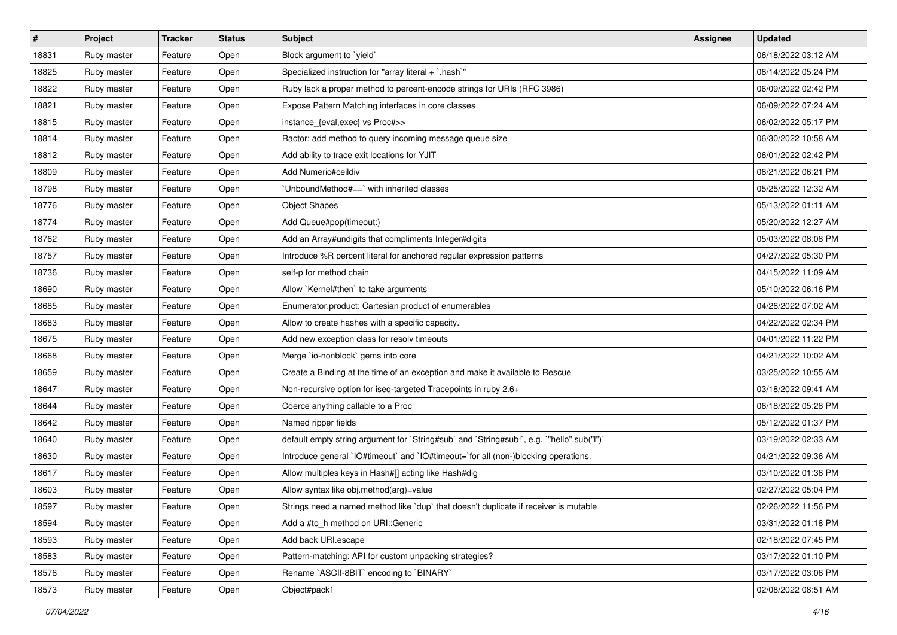| $\vert$ # | Project     | <b>Tracker</b> | <b>Status</b> | <b>Subject</b>                                                                            | <b>Assignee</b> | <b>Updated</b>      |
|-----------|-------------|----------------|---------------|-------------------------------------------------------------------------------------------|-----------------|---------------------|
| 18831     | Ruby master | Feature        | Open          | Block argument to `yield`                                                                 |                 | 06/18/2022 03:12 AM |
| 18825     | Ruby master | Feature        | Open          | Specialized instruction for "array literal + `.hash`"                                     |                 | 06/14/2022 05:24 PM |
| 18822     | Ruby master | Feature        | Open          | Ruby lack a proper method to percent-encode strings for URIs (RFC 3986)                   |                 | 06/09/2022 02:42 PM |
| 18821     | Ruby master | Feature        | Open          | Expose Pattern Matching interfaces in core classes                                        |                 | 06/09/2022 07:24 AM |
| 18815     | Ruby master | Feature        | Open          | instance_{eval,exec} vs Proc#>>                                                           |                 | 06/02/2022 05:17 PM |
| 18814     | Ruby master | Feature        | Open          | Ractor: add method to query incoming message queue size                                   |                 | 06/30/2022 10:58 AM |
| 18812     | Ruby master | Feature        | Open          | Add ability to trace exit locations for YJIT                                              |                 | 06/01/2022 02:42 PM |
| 18809     | Ruby master | Feature        | Open          | Add Numeric#ceildiv                                                                       |                 | 06/21/2022 06:21 PM |
| 18798     | Ruby master | Feature        | Open          | 'UnboundMethod#==' with inherited classes                                                 |                 | 05/25/2022 12:32 AM |
| 18776     | Ruby master | Feature        | Open          | <b>Object Shapes</b>                                                                      |                 | 05/13/2022 01:11 AM |
| 18774     | Ruby master | Feature        | Open          | Add Queue#pop(timeout:)                                                                   |                 | 05/20/2022 12:27 AM |
| 18762     | Ruby master | Feature        | Open          | Add an Array#undigits that compliments Integer#digits                                     |                 | 05/03/2022 08:08 PM |
| 18757     | Ruby master | Feature        | Open          | Introduce %R percent literal for anchored regular expression patterns                     |                 | 04/27/2022 05:30 PM |
| 18736     | Ruby master | Feature        | Open          | self-p for method chain                                                                   |                 | 04/15/2022 11:09 AM |
| 18690     | Ruby master | Feature        | Open          | Allow `Kernel#then` to take arguments                                                     |                 | 05/10/2022 06:16 PM |
| 18685     | Ruby master | Feature        | Open          | Enumerator.product: Cartesian product of enumerables                                      |                 | 04/26/2022 07:02 AM |
| 18683     | Ruby master | Feature        | Open          | Allow to create hashes with a specific capacity.                                          |                 | 04/22/2022 02:34 PM |
| 18675     | Ruby master | Feature        | Open          | Add new exception class for resolv timeouts                                               |                 | 04/01/2022 11:22 PM |
| 18668     | Ruby master | Feature        | Open          | Merge `io-nonblock` gems into core                                                        |                 | 04/21/2022 10:02 AM |
| 18659     | Ruby master | Feature        | Open          | Create a Binding at the time of an exception and make it available to Rescue              |                 | 03/25/2022 10:55 AM |
| 18647     | Ruby master | Feature        | Open          | Non-recursive option for iseq-targeted Tracepoints in ruby 2.6+                           |                 | 03/18/2022 09:41 AM |
| 18644     | Ruby master | Feature        | Open          | Coerce anything callable to a Proc                                                        |                 | 06/18/2022 05:28 PM |
| 18642     | Ruby master | Feature        | Open          | Named ripper fields                                                                       |                 | 05/12/2022 01:37 PM |
| 18640     | Ruby master | Feature        | Open          | default empty string argument for `String#sub` and `String#sub!`, e.g. `"hello".sub("I")` |                 | 03/19/2022 02:33 AM |
| 18630     | Ruby master | Feature        | Open          | Introduce general `IO#timeout` and `IO#timeout=`for all (non-)blocking operations.        |                 | 04/21/2022 09:36 AM |
| 18617     | Ruby master | Feature        | Open          | Allow multiples keys in Hash#[] acting like Hash#dig                                      |                 | 03/10/2022 01:36 PM |
| 18603     | Ruby master | Feature        | Open          | Allow syntax like obj.method(arg)=value                                                   |                 | 02/27/2022 05:04 PM |
| 18597     | Ruby master | Feature        | Open          | Strings need a named method like 'dup' that doesn't duplicate if receiver is mutable      |                 | 02/26/2022 11:56 PM |
| 18594     | Ruby master | Feature        | Open          | Add a #to h method on URI::Generic                                                        |                 | 03/31/2022 01:18 PM |
| 18593     | Ruby master | Feature        | Open          | Add back URI.escape                                                                       |                 | 02/18/2022 07:45 PM |
| 18583     | Ruby master | Feature        | Open          | Pattern-matching: API for custom unpacking strategies?                                    |                 | 03/17/2022 01:10 PM |
| 18576     | Ruby master | Feature        | Open          | Rename `ASCII-8BIT` encoding to `BINARY`                                                  |                 | 03/17/2022 03:06 PM |
| 18573     | Ruby master | Feature        | Open          | Object#pack1                                                                              |                 | 02/08/2022 08:51 AM |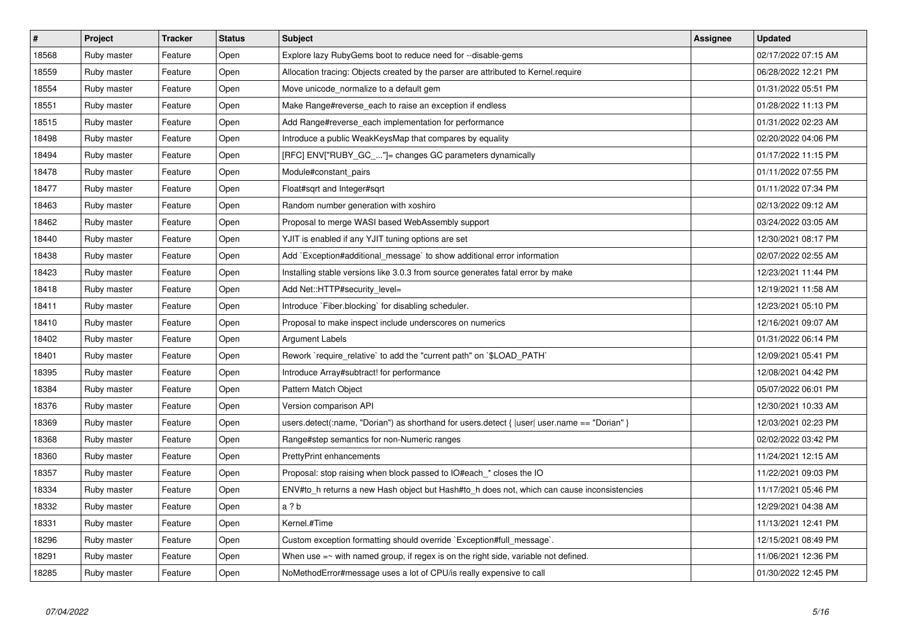| $\overline{\boldsymbol{H}}$ | Project     | <b>Tracker</b> | <b>Status</b> | <b>Subject</b>                                                                               | Assignee | <b>Updated</b>      |
|-----------------------------|-------------|----------------|---------------|----------------------------------------------------------------------------------------------|----------|---------------------|
| 18568                       | Ruby master | Feature        | Open          | Explore lazy RubyGems boot to reduce need for --disable-gems                                 |          | 02/17/2022 07:15 AM |
| 18559                       | Ruby master | Feature        | Open          | Allocation tracing: Objects created by the parser are attributed to Kernel.require           |          | 06/28/2022 12:21 PM |
| 18554                       | Ruby master | Feature        | Open          | Move unicode normalize to a default gem                                                      |          | 01/31/2022 05:51 PM |
| 18551                       | Ruby master | Feature        | Open          | Make Range#reverse_each to raise an exception if endless                                     |          | 01/28/2022 11:13 PM |
| 18515                       | Ruby master | Feature        | Open          | Add Range#reverse_each implementation for performance                                        |          | 01/31/2022 02:23 AM |
| 18498                       | Ruby master | Feature        | Open          | Introduce a public WeakKeysMap that compares by equality                                     |          | 02/20/2022 04:06 PM |
| 18494                       | Ruby master | Feature        | Open          | [RFC] ENV["RUBY_GC_"]= changes GC parameters dynamically                                     |          | 01/17/2022 11:15 PM |
| 18478                       | Ruby master | Feature        | Open          | Module#constant_pairs                                                                        |          | 01/11/2022 07:55 PM |
| 18477                       | Ruby master | Feature        | Open          | Float#sqrt and Integer#sqrt                                                                  |          | 01/11/2022 07:34 PM |
| 18463                       | Ruby master | Feature        | Open          | Random number generation with xoshiro                                                        |          | 02/13/2022 09:12 AM |
| 18462                       | Ruby master | Feature        | Open          | Proposal to merge WASI based WebAssembly support                                             |          | 03/24/2022 03:05 AM |
| 18440                       | Ruby master | Feature        | Open          | YJIT is enabled if any YJIT tuning options are set                                           |          | 12/30/2021 08:17 PM |
| 18438                       | Ruby master | Feature        | Open          | Add `Exception#additional_message` to show additional error information                      |          | 02/07/2022 02:55 AM |
| 18423                       | Ruby master | Feature        | Open          | Installing stable versions like 3.0.3 from source generates fatal error by make              |          | 12/23/2021 11:44 PM |
| 18418                       | Ruby master | Feature        | Open          | Add Net::HTTP#security level=                                                                |          | 12/19/2021 11:58 AM |
| 18411                       | Ruby master | Feature        | Open          | Introduce `Fiber.blocking` for disabling scheduler.                                          |          | 12/23/2021 05:10 PM |
| 18410                       | Ruby master | Feature        | Open          | Proposal to make inspect include underscores on numerics                                     |          | 12/16/2021 09:07 AM |
| 18402                       | Ruby master | Feature        | Open          | Argument Labels                                                                              |          | 01/31/2022 06:14 PM |
| 18401                       | Ruby master | Feature        | Open          | Rework `require_relative` to add the "current path" on `\$LOAD_PATH`                         |          | 12/09/2021 05:41 PM |
| 18395                       | Ruby master | Feature        | Open          | Introduce Array#subtract! for performance                                                    |          | 12/08/2021 04:42 PM |
| 18384                       | Ruby master | Feature        | Open          | Pattern Match Object                                                                         |          | 05/07/2022 06:01 PM |
| 18376                       | Ruby master | Feature        | Open          | Version comparison API                                                                       |          | 12/30/2021 10:33 AM |
| 18369                       | Ruby master | Feature        | Open          | users.detect(:name, "Dorian") as shorthand for users.detect {  user  user.name == "Dorian" } |          | 12/03/2021 02:23 PM |
| 18368                       | Ruby master | Feature        | Open          | Range#step semantics for non-Numeric ranges                                                  |          | 02/02/2022 03:42 PM |
| 18360                       | Ruby master | Feature        | Open          | <b>PrettyPrint enhancements</b>                                                              |          | 11/24/2021 12:15 AM |
| 18357                       | Ruby master | Feature        | Open          | Proposal: stop raising when block passed to IO#each_* closes the IO                          |          | 11/22/2021 09:03 PM |
| 18334                       | Ruby master | Feature        | Open          | ENV#to h returns a new Hash object but Hash#to h does not, which can cause inconsistencies   |          | 11/17/2021 05:46 PM |
| 18332                       | Ruby master | Feature        | Open          | a?b                                                                                          |          | 12/29/2021 04:38 AM |
| 18331                       | Ruby master | Feature        | Open          | Kernel.#Time                                                                                 |          | 11/13/2021 12:41 PM |
| 18296                       | Ruby master | Feature        | Open          | Custom exception formatting should override `Exception#full_message`.                        |          | 12/15/2021 08:49 PM |
| 18291                       | Ruby master | Feature        | Open          | When use $=\sim$ with named group, if regex is on the right side, variable not defined.      |          | 11/06/2021 12:36 PM |
| 18285                       | Ruby master | Feature        | Open          | NoMethodError#message uses a lot of CPU/is really expensive to call                          |          | 01/30/2022 12:45 PM |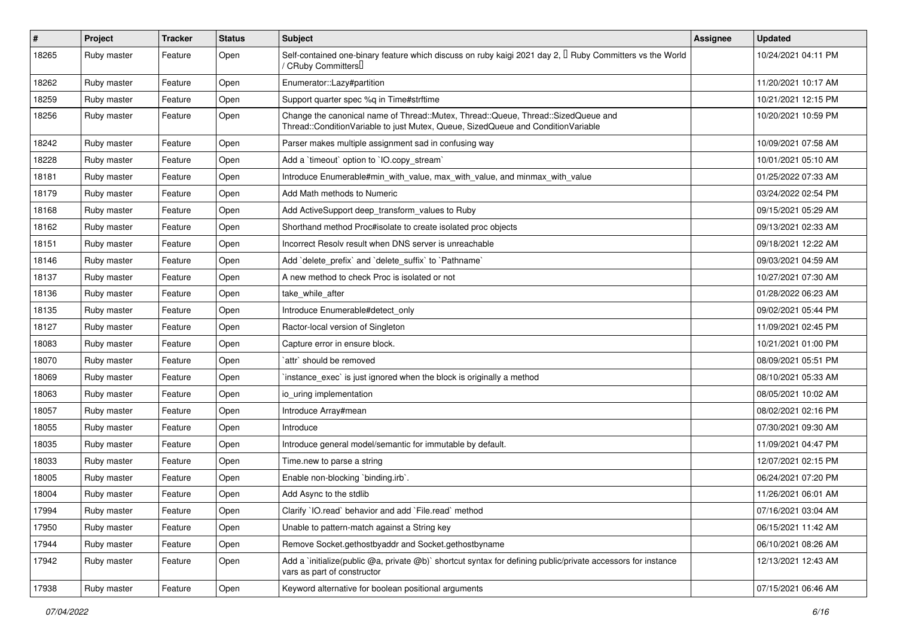| $\vert$ # | Project     | <b>Tracker</b> | <b>Status</b> | Subject                                                                                                                                                               | Assignee | <b>Updated</b>      |
|-----------|-------------|----------------|---------------|-----------------------------------------------------------------------------------------------------------------------------------------------------------------------|----------|---------------------|
| 18265     | Ruby master | Feature        | Open          | Self-contained one-binary feature which discuss on ruby kaigi 2021 day 2, $\mathbb I$ Ruby Committers vs the World<br>/ CRuby CommittersU                             |          | 10/24/2021 04:11 PM |
| 18262     | Ruby master | Feature        | Open          | Enumerator::Lazy#partition                                                                                                                                            |          | 11/20/2021 10:17 AM |
| 18259     | Ruby master | Feature        | Open          | Support quarter spec %q in Time#strftime                                                                                                                              |          | 10/21/2021 12:15 PM |
| 18256     | Ruby master | Feature        | Open          | Change the canonical name of Thread::Mutex, Thread::Queue, Thread::SizedQueue and<br>Thread::ConditionVariable to just Mutex, Queue, SizedQueue and ConditionVariable |          | 10/20/2021 10:59 PM |
| 18242     | Ruby master | Feature        | Open          | Parser makes multiple assignment sad in confusing way                                                                                                                 |          | 10/09/2021 07:58 AM |
| 18228     | Ruby master | Feature        | Open          | Add a 'timeout' option to 'IO.copy_stream'                                                                                                                            |          | 10/01/2021 05:10 AM |
| 18181     | Ruby master | Feature        | Open          | Introduce Enumerable#min_with_value, max_with_value, and minmax_with_value                                                                                            |          | 01/25/2022 07:33 AM |
| 18179     | Ruby master | Feature        | Open          | Add Math methods to Numeric                                                                                                                                           |          | 03/24/2022 02:54 PM |
| 18168     | Ruby master | Feature        | Open          | Add ActiveSupport deep_transform_values to Ruby                                                                                                                       |          | 09/15/2021 05:29 AM |
| 18162     | Ruby master | Feature        | Open          | Shorthand method Proc#isolate to create isolated proc objects                                                                                                         |          | 09/13/2021 02:33 AM |
| 18151     | Ruby master | Feature        | Open          | Incorrect Resoly result when DNS server is unreachable                                                                                                                |          | 09/18/2021 12:22 AM |
| 18146     | Ruby master | Feature        | Open          | Add `delete_prefix` and `delete_suffix` to `Pathname`                                                                                                                 |          | 09/03/2021 04:59 AM |
| 18137     | Ruby master | Feature        | Open          | A new method to check Proc is isolated or not                                                                                                                         |          | 10/27/2021 07:30 AM |
| 18136     | Ruby master | Feature        | Open          | take while after                                                                                                                                                      |          | 01/28/2022 06:23 AM |
| 18135     | Ruby master | Feature        | Open          | Introduce Enumerable#detect_only                                                                                                                                      |          | 09/02/2021 05:44 PM |
| 18127     | Ruby master | Feature        | Open          | Ractor-local version of Singleton                                                                                                                                     |          | 11/09/2021 02:45 PM |
| 18083     | Ruby master | Feature        | Open          | Capture error in ensure block.                                                                                                                                        |          | 10/21/2021 01:00 PM |
| 18070     | Ruby master | Feature        | Open          | `attr` should be removed                                                                                                                                              |          | 08/09/2021 05:51 PM |
| 18069     | Ruby master | Feature        | Open          | instance exec is just ignored when the block is originally a method                                                                                                   |          | 08/10/2021 05:33 AM |
| 18063     | Ruby master | Feature        | Open          | io_uring implementation                                                                                                                                               |          | 08/05/2021 10:02 AM |
| 18057     | Ruby master | Feature        | Open          | Introduce Array#mean                                                                                                                                                  |          | 08/02/2021 02:16 PM |
| 18055     | Ruby master | Feature        | Open          | Introduce                                                                                                                                                             |          | 07/30/2021 09:30 AM |
| 18035     | Ruby master | Feature        | Open          | Introduce general model/semantic for immutable by default.                                                                                                            |          | 11/09/2021 04:47 PM |
| 18033     | Ruby master | Feature        | Open          | Time.new to parse a string                                                                                                                                            |          | 12/07/2021 02:15 PM |
| 18005     | Ruby master | Feature        | Open          | Enable non-blocking `binding.irb`.                                                                                                                                    |          | 06/24/2021 07:20 PM |
| 18004     | Ruby master | Feature        | Open          | Add Async to the stdlib                                                                                                                                               |          | 11/26/2021 06:01 AM |
| 17994     | Ruby master | Feature        | Open          | Clarify `IO.read` behavior and add `File.read` method                                                                                                                 |          | 07/16/2021 03:04 AM |
| 17950     | Ruby master | Feature        | Open          | Unable to pattern-match against a String key                                                                                                                          |          | 06/15/2021 11:42 AM |
| 17944     | Ruby master | Feature        | Open          | Remove Socket.gethostbyaddr and Socket.gethostbyname                                                                                                                  |          | 06/10/2021 08:26 AM |
| 17942     | Ruby master | Feature        | Open          | Add a 'initialize(public @a, private @b)' shortcut syntax for defining public/private accessors for instance<br>vars as part of constructor                           |          | 12/13/2021 12:43 AM |
| 17938     | Ruby master | Feature        | Open          | Keyword alternative for boolean positional arguments                                                                                                                  |          | 07/15/2021 06:46 AM |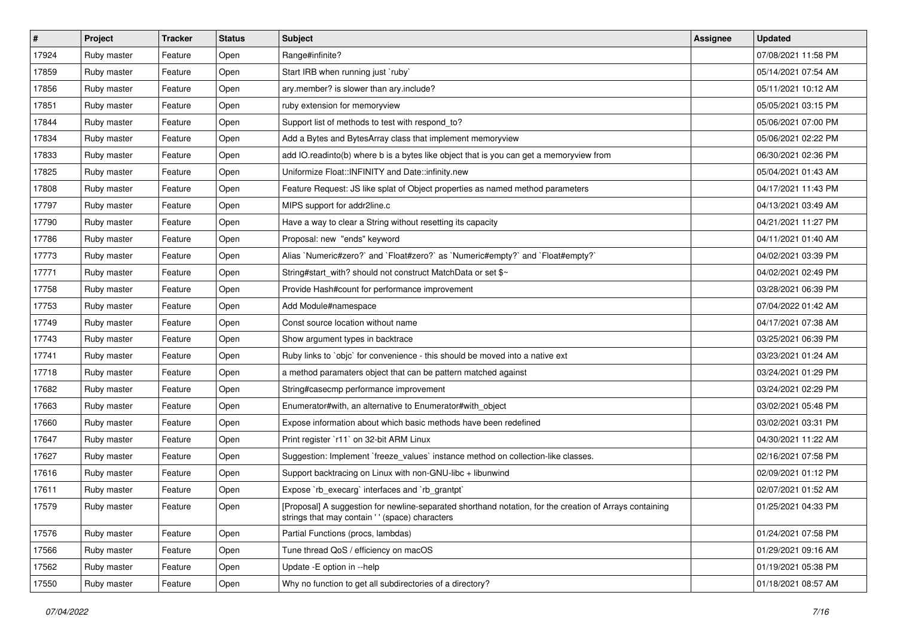| $\vert$ # | Project     | <b>Tracker</b> | <b>Status</b> | Subject                                                                                                                                                   | Assignee | <b>Updated</b>      |
|-----------|-------------|----------------|---------------|-----------------------------------------------------------------------------------------------------------------------------------------------------------|----------|---------------------|
| 17924     | Ruby master | Feature        | Open          | Range#infinite?                                                                                                                                           |          | 07/08/2021 11:58 PM |
| 17859     | Ruby master | Feature        | Open          | Start IRB when running just `ruby`                                                                                                                        |          | 05/14/2021 07:54 AM |
| 17856     | Ruby master | Feature        | Open          | ary.member? is slower than ary.include?                                                                                                                   |          | 05/11/2021 10:12 AM |
| 17851     | Ruby master | Feature        | Open          | ruby extension for memoryview                                                                                                                             |          | 05/05/2021 03:15 PM |
| 17844     | Ruby master | Feature        | Open          | Support list of methods to test with respond_to?                                                                                                          |          | 05/06/2021 07:00 PM |
| 17834     | Ruby master | Feature        | Open          | Add a Bytes and BytesArray class that implement memoryview                                                                                                |          | 05/06/2021 02:22 PM |
| 17833     | Ruby master | Feature        | Open          | add IO.readinto(b) where b is a bytes like object that is you can get a memoryview from                                                                   |          | 06/30/2021 02:36 PM |
| 17825     | Ruby master | Feature        | Open          | Uniformize Float::INFINITY and Date::infinity.new                                                                                                         |          | 05/04/2021 01:43 AM |
| 17808     | Ruby master | Feature        | Open          | Feature Request: JS like splat of Object properties as named method parameters                                                                            |          | 04/17/2021 11:43 PM |
| 17797     | Ruby master | Feature        | Open          | MIPS support for addr2line.c                                                                                                                              |          | 04/13/2021 03:49 AM |
| 17790     | Ruby master | Feature        | Open          | Have a way to clear a String without resetting its capacity                                                                                               |          | 04/21/2021 11:27 PM |
| 17786     | Ruby master | Feature        | Open          | Proposal: new "ends" keyword                                                                                                                              |          | 04/11/2021 01:40 AM |
| 17773     | Ruby master | Feature        | Open          | Alias `Numeric#zero?` and `Float#zero?` as `Numeric#empty?` and `Float#empty?`                                                                            |          | 04/02/2021 03:39 PM |
| 17771     | Ruby master | Feature        | Open          | String#start_with? should not construct MatchData or set \$~                                                                                              |          | 04/02/2021 02:49 PM |
| 17758     | Ruby master | Feature        | Open          | Provide Hash#count for performance improvement                                                                                                            |          | 03/28/2021 06:39 PM |
| 17753     | Ruby master | Feature        | Open          | Add Module#namespace                                                                                                                                      |          | 07/04/2022 01:42 AM |
| 17749     | Ruby master | Feature        | Open          | Const source location without name                                                                                                                        |          | 04/17/2021 07:38 AM |
| 17743     | Ruby master | Feature        | Open          | Show argument types in backtrace                                                                                                                          |          | 03/25/2021 06:39 PM |
| 17741     | Ruby master | Feature        | Open          | Ruby links to `objc` for convenience - this should be moved into a native ext                                                                             |          | 03/23/2021 01:24 AM |
| 17718     | Ruby master | Feature        | Open          | a method paramaters object that can be pattern matched against                                                                                            |          | 03/24/2021 01:29 PM |
| 17682     | Ruby master | Feature        | Open          | String#casecmp performance improvement                                                                                                                    |          | 03/24/2021 02:29 PM |
| 17663     | Ruby master | Feature        | Open          | Enumerator#with, an alternative to Enumerator#with_object                                                                                                 |          | 03/02/2021 05:48 PM |
| 17660     | Ruby master | Feature        | Open          | Expose information about which basic methods have been redefined                                                                                          |          | 03/02/2021 03:31 PM |
| 17647     | Ruby master | Feature        | Open          | Print register `r11` on 32-bit ARM Linux                                                                                                                  |          | 04/30/2021 11:22 AM |
| 17627     | Ruby master | Feature        | Open          | Suggestion: Implement `freeze_values` instance method on collection-like classes.                                                                         |          | 02/16/2021 07:58 PM |
| 17616     | Ruby master | Feature        | Open          | Support backtracing on Linux with non-GNU-libc + libunwind                                                                                                |          | 02/09/2021 01:12 PM |
| 17611     | Ruby master | Feature        | Open          | Expose `rb_execarg` interfaces and `rb_grantpt`                                                                                                           |          | 02/07/2021 01:52 AM |
| 17579     | Ruby master | Feature        | Open          | [Proposal] A suggestion for newline-separated shorthand notation, for the creation of Arrays containing<br>strings that may contain '' (space) characters |          | 01/25/2021 04:33 PM |
| 17576     | Ruby master | Feature        | Open          | Partial Functions (procs, lambdas)                                                                                                                        |          | 01/24/2021 07:58 PM |
| 17566     | Ruby master | Feature        | Open          | Tune thread QoS / efficiency on macOS                                                                                                                     |          | 01/29/2021 09:16 AM |
| 17562     | Ruby master | Feature        | Open          | Update -E option in --help                                                                                                                                |          | 01/19/2021 05:38 PM |
| 17550     | Ruby master | Feature        | Open          | Why no function to get all subdirectories of a directory?                                                                                                 |          | 01/18/2021 08:57 AM |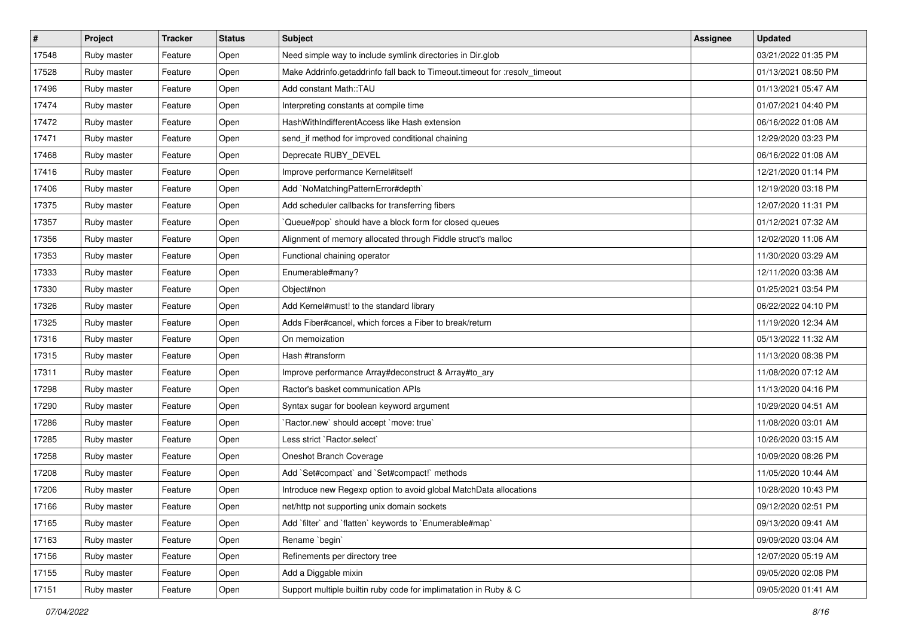| $\vert$ # | Project     | <b>Tracker</b> | <b>Status</b> | Subject                                                                    | <b>Assignee</b> | <b>Updated</b>      |
|-----------|-------------|----------------|---------------|----------------------------------------------------------------------------|-----------------|---------------------|
| 17548     | Ruby master | Feature        | Open          | Need simple way to include symlink directories in Dir.glob                 |                 | 03/21/2022 01:35 PM |
| 17528     | Ruby master | Feature        | Open          | Make Addrinfo.getaddrinfo fall back to Timeout.timeout for :resolv_timeout |                 | 01/13/2021 08:50 PM |
| 17496     | Ruby master | Feature        | Open          | Add constant Math::TAU                                                     |                 | 01/13/2021 05:47 AM |
| 17474     | Ruby master | Feature        | Open          | Interpreting constants at compile time                                     |                 | 01/07/2021 04:40 PM |
| 17472     | Ruby master | Feature        | Open          | HashWithIndifferentAccess like Hash extension                              |                 | 06/16/2022 01:08 AM |
| 17471     | Ruby master | Feature        | Open          | send_if method for improved conditional chaining                           |                 | 12/29/2020 03:23 PM |
| 17468     | Ruby master | Feature        | Open          | Deprecate RUBY_DEVEL                                                       |                 | 06/16/2022 01:08 AM |
| 17416     | Ruby master | Feature        | Open          | Improve performance Kernel#itself                                          |                 | 12/21/2020 01:14 PM |
| 17406     | Ruby master | Feature        | Open          | Add `NoMatchingPatternError#depth`                                         |                 | 12/19/2020 03:18 PM |
| 17375     | Ruby master | Feature        | Open          | Add scheduler callbacks for transferring fibers                            |                 | 12/07/2020 11:31 PM |
| 17357     | Ruby master | Feature        | Open          | 'Queue#pop' should have a block form for closed queues                     |                 | 01/12/2021 07:32 AM |
| 17356     | Ruby master | Feature        | Open          | Alignment of memory allocated through Fiddle struct's malloc               |                 | 12/02/2020 11:06 AM |
| 17353     | Ruby master | Feature        | Open          | Functional chaining operator                                               |                 | 11/30/2020 03:29 AM |
| 17333     | Ruby master | Feature        | Open          | Enumerable#many?                                                           |                 | 12/11/2020 03:38 AM |
| 17330     | Ruby master | Feature        | Open          | Object#non                                                                 |                 | 01/25/2021 03:54 PM |
| 17326     | Ruby master | Feature        | Open          | Add Kernel#must! to the standard library                                   |                 | 06/22/2022 04:10 PM |
| 17325     | Ruby master | Feature        | Open          | Adds Fiber#cancel, which forces a Fiber to break/return                    |                 | 11/19/2020 12:34 AM |
| 17316     | Ruby master | Feature        | Open          | On memoization                                                             |                 | 05/13/2022 11:32 AM |
| 17315     | Ruby master | Feature        | Open          | Hash #transform                                                            |                 | 11/13/2020 08:38 PM |
| 17311     | Ruby master | Feature        | Open          | Improve performance Array#deconstruct & Array#to_ary                       |                 | 11/08/2020 07:12 AM |
| 17298     | Ruby master | Feature        | Open          | Ractor's basket communication APIs                                         |                 | 11/13/2020 04:16 PM |
| 17290     | Ruby master | Feature        | Open          | Syntax sugar for boolean keyword argument                                  |                 | 10/29/2020 04:51 AM |
| 17286     | Ruby master | Feature        | Open          | 'Ractor.new' should accept 'move: true'                                    |                 | 11/08/2020 03:01 AM |
| 17285     | Ruby master | Feature        | Open          | Less strict `Ractor.select`                                                |                 | 10/26/2020 03:15 AM |
| 17258     | Ruby master | Feature        | Open          | Oneshot Branch Coverage                                                    |                 | 10/09/2020 08:26 PM |
| 17208     | Ruby master | Feature        | Open          | Add `Set#compact` and `Set#compact!` methods                               |                 | 11/05/2020 10:44 AM |
| 17206     | Ruby master | Feature        | Open          | Introduce new Regexp option to avoid global MatchData allocations          |                 | 10/28/2020 10:43 PM |
| 17166     | Ruby master | Feature        | Open          | net/http not supporting unix domain sockets                                |                 | 09/12/2020 02:51 PM |
| 17165     | Ruby master | Feature        | Open          | Add `filter` and `flatten` keywords to `Enumerable#map`                    |                 | 09/13/2020 09:41 AM |
| 17163     | Ruby master | Feature        | Open          | Rename `begin`                                                             |                 | 09/09/2020 03:04 AM |
| 17156     | Ruby master | Feature        | Open          | Refinements per directory tree                                             |                 | 12/07/2020 05:19 AM |
| 17155     | Ruby master | Feature        | Open          | Add a Diggable mixin                                                       |                 | 09/05/2020 02:08 PM |
| 17151     | Ruby master | Feature        | Open          | Support multiple builtin ruby code for implimatation in Ruby & C           |                 | 09/05/2020 01:41 AM |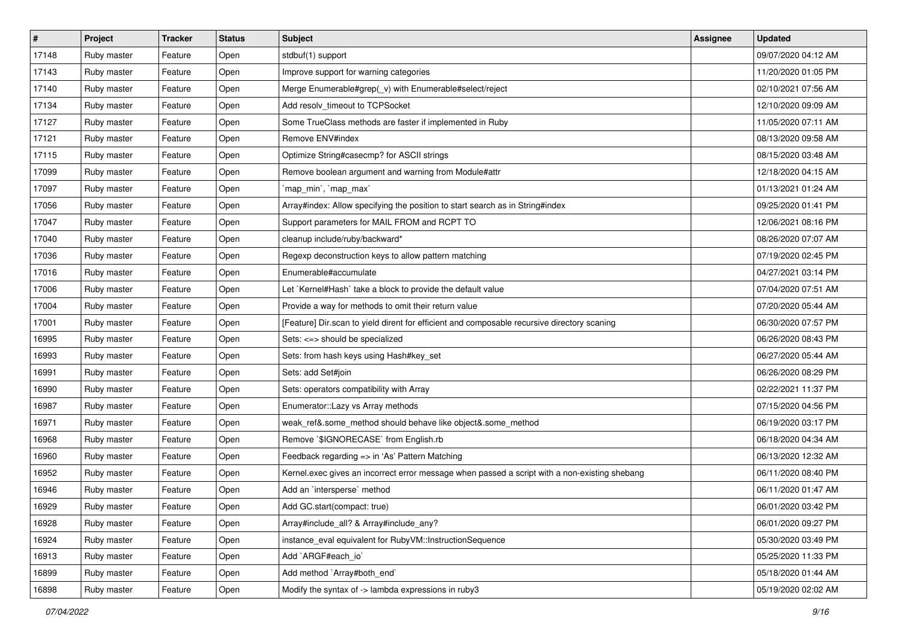| $\sharp$ | Project     | <b>Tracker</b> | <b>Status</b> | <b>Subject</b>                                                                                | <b>Assignee</b> | <b>Updated</b>      |
|----------|-------------|----------------|---------------|-----------------------------------------------------------------------------------------------|-----------------|---------------------|
| 17148    | Ruby master | Feature        | Open          | stdbuf(1) support                                                                             |                 | 09/07/2020 04:12 AM |
| 17143    | Ruby master | Feature        | Open          | Improve support for warning categories                                                        |                 | 11/20/2020 01:05 PM |
| 17140    | Ruby master | Feature        | Open          | Merge Enumerable#grep(_v) with Enumerable#select/reject                                       |                 | 02/10/2021 07:56 AM |
| 17134    | Ruby master | Feature        | Open          | Add resolv_timeout to TCPSocket                                                               |                 | 12/10/2020 09:09 AM |
| 17127    | Ruby master | Feature        | Open          | Some TrueClass methods are faster if implemented in Ruby                                      |                 | 11/05/2020 07:11 AM |
| 17121    | Ruby master | Feature        | Open          | Remove ENV#index                                                                              |                 | 08/13/2020 09:58 AM |
| 17115    | Ruby master | Feature        | Open          | Optimize String#casecmp? for ASCII strings                                                    |                 | 08/15/2020 03:48 AM |
| 17099    | Ruby master | Feature        | Open          | Remove boolean argument and warning from Module#attr                                          |                 | 12/18/2020 04:15 AM |
| 17097    | Ruby master | Feature        | Open          | `map_min`, `map_max`                                                                          |                 | 01/13/2021 01:24 AM |
| 17056    | Ruby master | Feature        | Open          | Array#index: Allow specifying the position to start search as in String#index                 |                 | 09/25/2020 01:41 PM |
| 17047    | Ruby master | Feature        | Open          | Support parameters for MAIL FROM and RCPT TO                                                  |                 | 12/06/2021 08:16 PM |
| 17040    | Ruby master | Feature        | Open          | cleanup include/ruby/backward*                                                                |                 | 08/26/2020 07:07 AM |
| 17036    | Ruby master | Feature        | Open          | Regexp deconstruction keys to allow pattern matching                                          |                 | 07/19/2020 02:45 PM |
| 17016    | Ruby master | Feature        | Open          | Enumerable#accumulate                                                                         |                 | 04/27/2021 03:14 PM |
| 17006    | Ruby master | Feature        | Open          | Let `Kernel#Hash` take a block to provide the default value                                   |                 | 07/04/2020 07:51 AM |
| 17004    | Ruby master | Feature        | Open          | Provide a way for methods to omit their return value                                          |                 | 07/20/2020 05:44 AM |
| 17001    | Ruby master | Feature        | Open          | [Feature] Dir.scan to yield dirent for efficient and composable recursive directory scaning   |                 | 06/30/2020 07:57 PM |
| 16995    | Ruby master | Feature        | Open          | Sets: <= > should be specialized                                                              |                 | 06/26/2020 08:43 PM |
| 16993    | Ruby master | Feature        | Open          | Sets: from hash keys using Hash#key_set                                                       |                 | 06/27/2020 05:44 AM |
| 16991    | Ruby master | Feature        | Open          | Sets: add Set#join                                                                            |                 | 06/26/2020 08:29 PM |
| 16990    | Ruby master | Feature        | Open          | Sets: operators compatibility with Array                                                      |                 | 02/22/2021 11:37 PM |
| 16987    | Ruby master | Feature        | Open          | Enumerator::Lazy vs Array methods                                                             |                 | 07/15/2020 04:56 PM |
| 16971    | Ruby master | Feature        | Open          | weak_ref&.some_method should behave like object&.some_method                                  |                 | 06/19/2020 03:17 PM |
| 16968    | Ruby master | Feature        | Open          | Remove `\$IGNORECASE` from English.rb                                                         |                 | 06/18/2020 04:34 AM |
| 16960    | Ruby master | Feature        | Open          | Feedback regarding => in 'As' Pattern Matching                                                |                 | 06/13/2020 12:32 AM |
| 16952    | Ruby master | Feature        | Open          | Kernel.exec gives an incorrect error message when passed a script with a non-existing shebang |                 | 06/11/2020 08:40 PM |
| 16946    | Ruby master | Feature        | Open          | Add an `intersperse` method                                                                   |                 | 06/11/2020 01:47 AM |
| 16929    | Ruby master | Feature        | Open          | Add GC.start(compact: true)                                                                   |                 | 06/01/2020 03:42 PM |
| 16928    | Ruby master | Feature        | Open          | Array#include all? & Array#include any?                                                       |                 | 06/01/2020 09:27 PM |
| 16924    | Ruby master | Feature        | Open          | instance_eval equivalent for RubyVM::InstructionSequence                                      |                 | 05/30/2020 03:49 PM |
| 16913    | Ruby master | Feature        | Open          | Add `ARGF#each io`                                                                            |                 | 05/25/2020 11:33 PM |
| 16899    | Ruby master | Feature        | Open          | Add method `Array#both end`                                                                   |                 | 05/18/2020 01:44 AM |
| 16898    | Ruby master | Feature        | Open          | Modify the syntax of -> lambda expressions in ruby3                                           |                 | 05/19/2020 02:02 AM |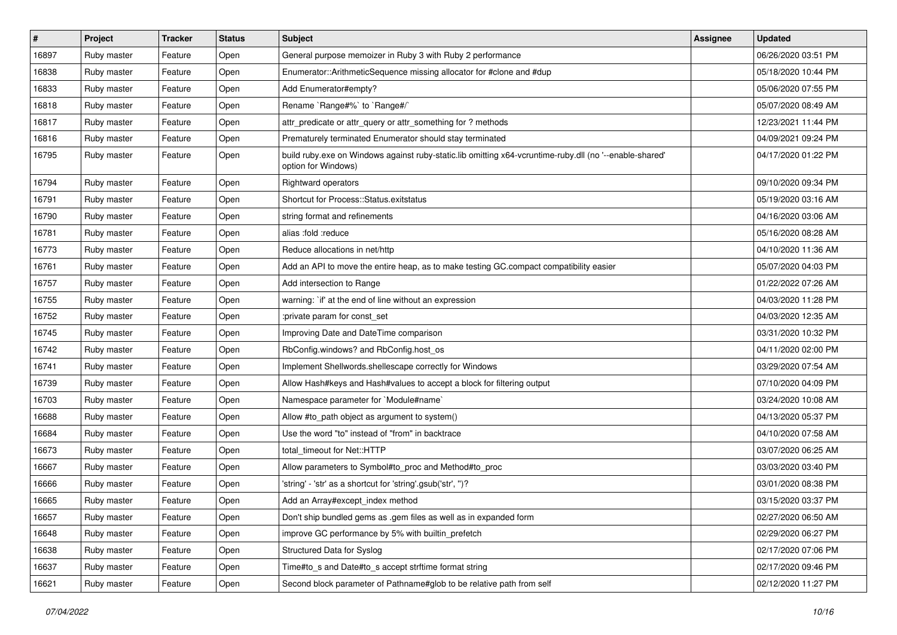| $\vert$ # | Project     | <b>Tracker</b> | <b>Status</b> | Subject                                                                                                                        | Assignee | <b>Updated</b>      |
|-----------|-------------|----------------|---------------|--------------------------------------------------------------------------------------------------------------------------------|----------|---------------------|
| 16897     | Ruby master | Feature        | Open          | General purpose memoizer in Ruby 3 with Ruby 2 performance                                                                     |          | 06/26/2020 03:51 PM |
| 16838     | Ruby master | Feature        | Open          | Enumerator::ArithmeticSequence missing allocator for #clone and #dup                                                           |          | 05/18/2020 10:44 PM |
| 16833     | Ruby master | Feature        | Open          | Add Enumerator#empty?                                                                                                          |          | 05/06/2020 07:55 PM |
| 16818     | Ruby master | Feature        | Open          | Rename `Range#%` to `Range#/`                                                                                                  |          | 05/07/2020 08:49 AM |
| 16817     | Ruby master | Feature        | Open          | attr_predicate or attr_query or attr_something for ? methods                                                                   |          | 12/23/2021 11:44 PM |
| 16816     | Ruby master | Feature        | Open          | Prematurely terminated Enumerator should stay terminated                                                                       |          | 04/09/2021 09:24 PM |
| 16795     | Ruby master | Feature        | Open          | build ruby.exe on Windows against ruby-static.lib omitting x64-vcruntime-ruby.dll (no '--enable-shared'<br>option for Windows) |          | 04/17/2020 01:22 PM |
| 16794     | Ruby master | Feature        | Open          | Rightward operators                                                                                                            |          | 09/10/2020 09:34 PM |
| 16791     | Ruby master | Feature        | Open          | Shortcut for Process::Status.exitstatus                                                                                        |          | 05/19/2020 03:16 AM |
| 16790     | Ruby master | Feature        | Open          | string format and refinements                                                                                                  |          | 04/16/2020 03:06 AM |
| 16781     | Ruby master | Feature        | Open          | alias :fold :reduce                                                                                                            |          | 05/16/2020 08:28 AM |
| 16773     | Ruby master | Feature        | Open          | Reduce allocations in net/http                                                                                                 |          | 04/10/2020 11:36 AM |
| 16761     | Ruby master | Feature        | Open          | Add an API to move the entire heap, as to make testing GC.compact compatibility easier                                         |          | 05/07/2020 04:03 PM |
| 16757     | Ruby master | Feature        | Open          | Add intersection to Range                                                                                                      |          | 01/22/2022 07:26 AM |
| 16755     | Ruby master | Feature        | Open          | warning: `if' at the end of line without an expression                                                                         |          | 04/03/2020 11:28 PM |
| 16752     | Ruby master | Feature        | Open          | :private param for const_set                                                                                                   |          | 04/03/2020 12:35 AM |
| 16745     | Ruby master | Feature        | Open          | Improving Date and DateTime comparison                                                                                         |          | 03/31/2020 10:32 PM |
| 16742     | Ruby master | Feature        | Open          | RbConfig.windows? and RbConfig.host_os                                                                                         |          | 04/11/2020 02:00 PM |
| 16741     | Ruby master | Feature        | Open          | Implement Shellwords.shellescape correctly for Windows                                                                         |          | 03/29/2020 07:54 AM |
| 16739     | Ruby master | Feature        | Open          | Allow Hash#keys and Hash#values to accept a block for filtering output                                                         |          | 07/10/2020 04:09 PM |
| 16703     | Ruby master | Feature        | Open          | Namespace parameter for `Module#name`                                                                                          |          | 03/24/2020 10:08 AM |
| 16688     | Ruby master | Feature        | Open          | Allow #to_path object as argument to system()                                                                                  |          | 04/13/2020 05:37 PM |
| 16684     | Ruby master | Feature        | Open          | Use the word "to" instead of "from" in backtrace                                                                               |          | 04/10/2020 07:58 AM |
| 16673     | Ruby master | Feature        | Open          | total timeout for Net::HTTP                                                                                                    |          | 03/07/2020 06:25 AM |
| 16667     | Ruby master | Feature        | Open          | Allow parameters to Symbol#to_proc and Method#to_proc                                                                          |          | 03/03/2020 03:40 PM |
| 16666     | Ruby master | Feature        | Open          | 'string' - 'str' as a shortcut for 'string'.gsub('str', ")?                                                                    |          | 03/01/2020 08:38 PM |
| 16665     | Ruby master | Feature        | Open          | Add an Array#except_index method                                                                                               |          | 03/15/2020 03:37 PM |
| 16657     | Ruby master | Feature        | Open          | Don't ship bundled gems as .gem files as well as in expanded form                                                              |          | 02/27/2020 06:50 AM |
| 16648     | Ruby master | Feature        | Open          | improve GC performance by 5% with builtin prefetch                                                                             |          | 02/29/2020 06:27 PM |
| 16638     | Ruby master | Feature        | Open          | Structured Data for Syslog                                                                                                     |          | 02/17/2020 07:06 PM |
| 16637     | Ruby master | Feature        | Open          | Time#to s and Date#to s accept strftime format string                                                                          |          | 02/17/2020 09:46 PM |
| 16621     | Ruby master | Feature        | Open          | Second block parameter of Pathname#glob to be relative path from self                                                          |          | 02/12/2020 11:27 PM |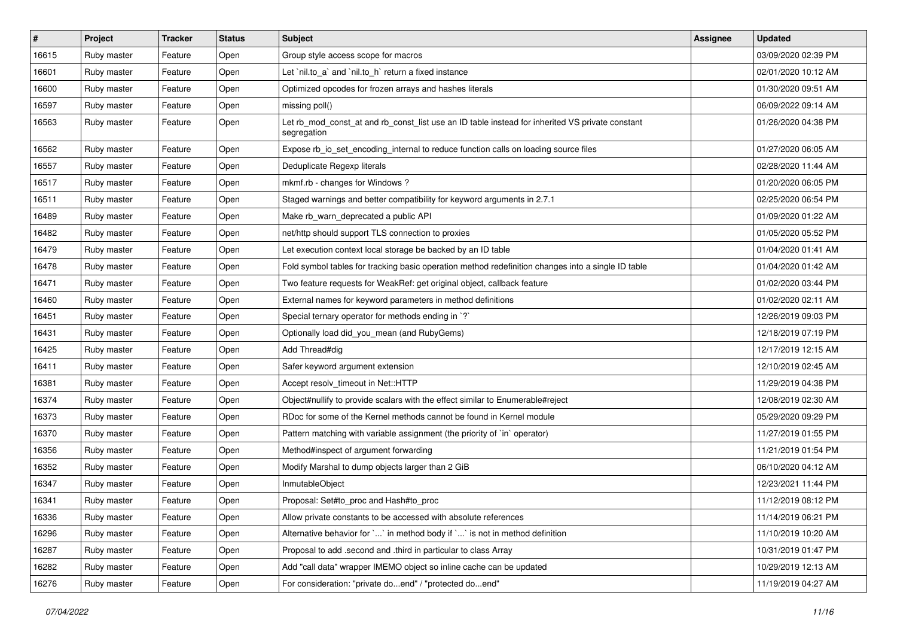| #     | Project     | <b>Tracker</b> | <b>Status</b> | <b>Subject</b>                                                                                                 | Assignee | <b>Updated</b>      |
|-------|-------------|----------------|---------------|----------------------------------------------------------------------------------------------------------------|----------|---------------------|
| 16615 | Ruby master | Feature        | Open          | Group style access scope for macros                                                                            |          | 03/09/2020 02:39 PM |
| 16601 | Ruby master | Feature        | Open          | Let `nil.to_a` and `nil.to_h` return a fixed instance                                                          |          | 02/01/2020 10:12 AM |
| 16600 | Ruby master | Feature        | Open          | Optimized opcodes for frozen arrays and hashes literals                                                        |          | 01/30/2020 09:51 AM |
| 16597 | Ruby master | Feature        | Open          | missing poll()                                                                                                 |          | 06/09/2022 09:14 AM |
| 16563 | Ruby master | Feature        | Open          | Let rb_mod_const_at and rb_const_list use an ID table instead for inherited VS private constant<br>segregation |          | 01/26/2020 04:38 PM |
| 16562 | Ruby master | Feature        | Open          | Expose rb_io_set_encoding_internal to reduce function calls on loading source files                            |          | 01/27/2020 06:05 AM |
| 16557 | Ruby master | Feature        | Open          | Deduplicate Regexp literals                                                                                    |          | 02/28/2020 11:44 AM |
| 16517 | Ruby master | Feature        | Open          | mkmf.rb - changes for Windows?                                                                                 |          | 01/20/2020 06:05 PM |
| 16511 | Ruby master | Feature        | Open          | Staged warnings and better compatibility for keyword arguments in 2.7.1                                        |          | 02/25/2020 06:54 PM |
| 16489 | Ruby master | Feature        | Open          | Make rb_warn_deprecated a public API                                                                           |          | 01/09/2020 01:22 AM |
| 16482 | Ruby master | Feature        | Open          | net/http should support TLS connection to proxies                                                              |          | 01/05/2020 05:52 PM |
| 16479 | Ruby master | Feature        | Open          | Let execution context local storage be backed by an ID table                                                   |          | 01/04/2020 01:41 AM |
| 16478 | Ruby master | Feature        | Open          | Fold symbol tables for tracking basic operation method redefinition changes into a single ID table             |          | 01/04/2020 01:42 AM |
| 16471 | Ruby master | Feature        | Open          | Two feature requests for WeakRef: get original object, callback feature                                        |          | 01/02/2020 03:44 PM |
| 16460 | Ruby master | Feature        | Open          | External names for keyword parameters in method definitions                                                    |          | 01/02/2020 02:11 AM |
| 16451 | Ruby master | Feature        | Open          | Special ternary operator for methods ending in `?`                                                             |          | 12/26/2019 09:03 PM |
| 16431 | Ruby master | Feature        | Open          | Optionally load did_you_mean (and RubyGems)                                                                    |          | 12/18/2019 07:19 PM |
| 16425 | Ruby master | Feature        | Open          | Add Thread#dig                                                                                                 |          | 12/17/2019 12:15 AM |
| 16411 | Ruby master | Feature        | Open          | Safer keyword argument extension                                                                               |          | 12/10/2019 02:45 AM |
| 16381 | Ruby master | Feature        | Open          | Accept resolv_timeout in Net::HTTP                                                                             |          | 11/29/2019 04:38 PM |
| 16374 | Ruby master | Feature        | Open          | Object#nullify to provide scalars with the effect similar to Enumerable#reject                                 |          | 12/08/2019 02:30 AM |
| 16373 | Ruby master | Feature        | Open          | RDoc for some of the Kernel methods cannot be found in Kernel module                                           |          | 05/29/2020 09:29 PM |
| 16370 | Ruby master | Feature        | Open          | Pattern matching with variable assignment (the priority of `in` operator)                                      |          | 11/27/2019 01:55 PM |
| 16356 | Ruby master | Feature        | Open          | Method#inspect of argument forwarding                                                                          |          | 11/21/2019 01:54 PM |
| 16352 | Ruby master | Feature        | Open          | Modify Marshal to dump objects larger than 2 GiB                                                               |          | 06/10/2020 04:12 AM |
| 16347 | Ruby master | Feature        | Open          | InmutableObject                                                                                                |          | 12/23/2021 11:44 PM |
| 16341 | Ruby master | Feature        | Open          | Proposal: Set#to_proc and Hash#to_proc                                                                         |          | 11/12/2019 08:12 PM |
| 16336 | Ruby master | Feature        | Open          | Allow private constants to be accessed with absolute references                                                |          | 11/14/2019 06:21 PM |
| 16296 | Ruby master | Feature        | Open          | Alternative behavior for `` in method body if `' is not in method definition                                   |          | 11/10/2019 10:20 AM |
| 16287 | Ruby master | Feature        | Open          | Proposal to add .second and .third in particular to class Array                                                |          | 10/31/2019 01:47 PM |
| 16282 | Ruby master | Feature        | Open          | Add "call data" wrapper IMEMO object so inline cache can be updated                                            |          | 10/29/2019 12:13 AM |
| 16276 | Ruby master | Feature        | Open          | For consideration: "private doend" / "protected doend"                                                         |          | 11/19/2019 04:27 AM |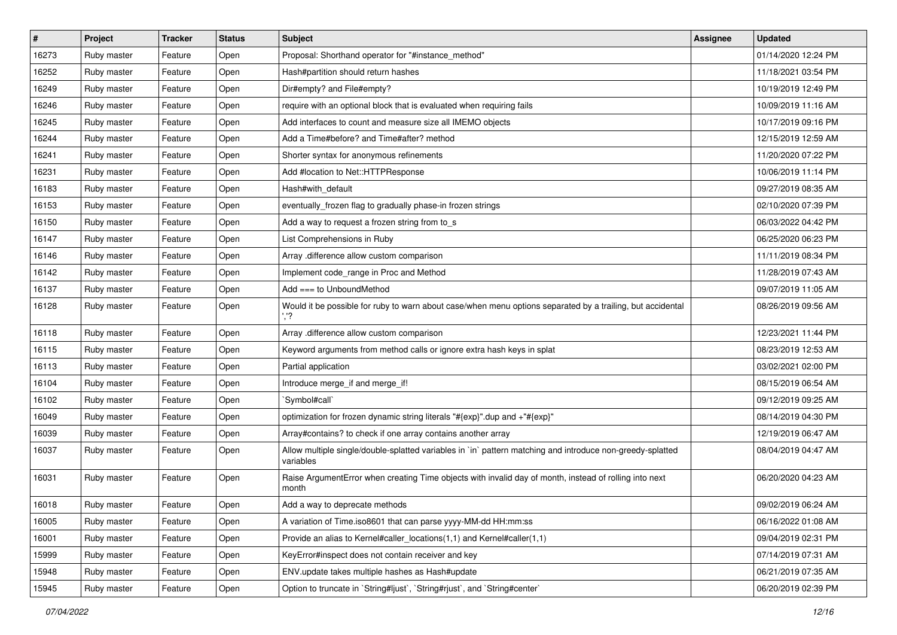| #     | Project     | <b>Tracker</b> | <b>Status</b> | Subject                                                                                                                 | <b>Assignee</b> | <b>Updated</b>      |
|-------|-------------|----------------|---------------|-------------------------------------------------------------------------------------------------------------------------|-----------------|---------------------|
| 16273 | Ruby master | Feature        | Open          | Proposal: Shorthand operator for "#instance_method"                                                                     |                 | 01/14/2020 12:24 PM |
| 16252 | Ruby master | Feature        | Open          | Hash#partition should return hashes                                                                                     |                 | 11/18/2021 03:54 PM |
| 16249 | Ruby master | Feature        | Open          | Dir#empty? and File#empty?                                                                                              |                 | 10/19/2019 12:49 PM |
| 16246 | Ruby master | Feature        | Open          | require with an optional block that is evaluated when requiring fails                                                   |                 | 10/09/2019 11:16 AM |
| 16245 | Ruby master | Feature        | Open          | Add interfaces to count and measure size all IMEMO objects                                                              |                 | 10/17/2019 09:16 PM |
| 16244 | Ruby master | Feature        | Open          | Add a Time#before? and Time#after? method                                                                               |                 | 12/15/2019 12:59 AM |
| 16241 | Ruby master | Feature        | Open          | Shorter syntax for anonymous refinements                                                                                |                 | 11/20/2020 07:22 PM |
| 16231 | Ruby master | Feature        | Open          | Add #location to Net::HTTPResponse                                                                                      |                 | 10/06/2019 11:14 PM |
| 16183 | Ruby master | Feature        | Open          | Hash#with_default                                                                                                       |                 | 09/27/2019 08:35 AM |
| 16153 | Ruby master | Feature        | Open          | eventually_frozen flag to gradually phase-in frozen strings                                                             |                 | 02/10/2020 07:39 PM |
| 16150 | Ruby master | Feature        | Open          | Add a way to request a frozen string from to_s                                                                          |                 | 06/03/2022 04:42 PM |
| 16147 | Ruby master | Feature        | Open          | List Comprehensions in Ruby                                                                                             |                 | 06/25/2020 06:23 PM |
| 16146 | Ruby master | Feature        | Open          | Array .difference allow custom comparison                                                                               |                 | 11/11/2019 08:34 PM |
| 16142 | Ruby master | Feature        | Open          | Implement code_range in Proc and Method                                                                                 |                 | 11/28/2019 07:43 AM |
| 16137 | Ruby master | Feature        | Open          | Add === to UnboundMethod                                                                                                |                 | 09/07/2019 11:05 AM |
| 16128 | Ruby master | Feature        | Open          | Would it be possible for ruby to warn about case/when menu options separated by a trailing, but accidental              |                 | 08/26/2019 09:56 AM |
| 16118 | Ruby master | Feature        | Open          | Array .difference allow custom comparison                                                                               |                 | 12/23/2021 11:44 PM |
| 16115 | Ruby master | Feature        | Open          | Keyword arguments from method calls or ignore extra hash keys in splat                                                  |                 | 08/23/2019 12:53 AM |
| 16113 | Ruby master | Feature        | Open          | Partial application                                                                                                     |                 | 03/02/2021 02:00 PM |
| 16104 | Ruby master | Feature        | Open          | Introduce merge_if and merge_if!                                                                                        |                 | 08/15/2019 06:54 AM |
| 16102 | Ruby master | Feature        | Open          | `Symbol#call`                                                                                                           |                 | 09/12/2019 09:25 AM |
| 16049 | Ruby master | Feature        | Open          | optimization for frozen dynamic string literals "#{exp}".dup and +"#{exp}"                                              |                 | 08/14/2019 04:30 PM |
| 16039 | Ruby master | Feature        | Open          | Array#contains? to check if one array contains another array                                                            |                 | 12/19/2019 06:47 AM |
| 16037 | Ruby master | Feature        | Open          | Allow multiple single/double-splatted variables in `in` pattern matching and introduce non-greedy-splatted<br>variables |                 | 08/04/2019 04:47 AM |
| 16031 | Ruby master | Feature        | Open          | Raise ArgumentError when creating Time objects with invalid day of month, instead of rolling into next<br>month         |                 | 06/20/2020 04:23 AM |
| 16018 | Ruby master | Feature        | Open          | Add a way to deprecate methods                                                                                          |                 | 09/02/2019 06:24 AM |
| 16005 | Ruby master | Feature        | Open          | A variation of Time.iso8601 that can parse yyyy-MM-dd HH:mm:ss                                                          |                 | 06/16/2022 01:08 AM |
| 16001 | Ruby master | Feature        | Open          | Provide an alias to Kernel#caller_locations(1,1) and Kernel#caller(1,1)                                                 |                 | 09/04/2019 02:31 PM |
| 15999 | Ruby master | Feature        | Open          | KeyError#inspect does not contain receiver and key                                                                      |                 | 07/14/2019 07:31 AM |
| 15948 | Ruby master | Feature        | Open          | ENV.update takes multiple hashes as Hash#update                                                                         |                 | 06/21/2019 07:35 AM |
| 15945 | Ruby master | Feature        | Open          | Option to truncate in `String#ljust`, `String#rjust`, and `String#center`                                               |                 | 06/20/2019 02:39 PM |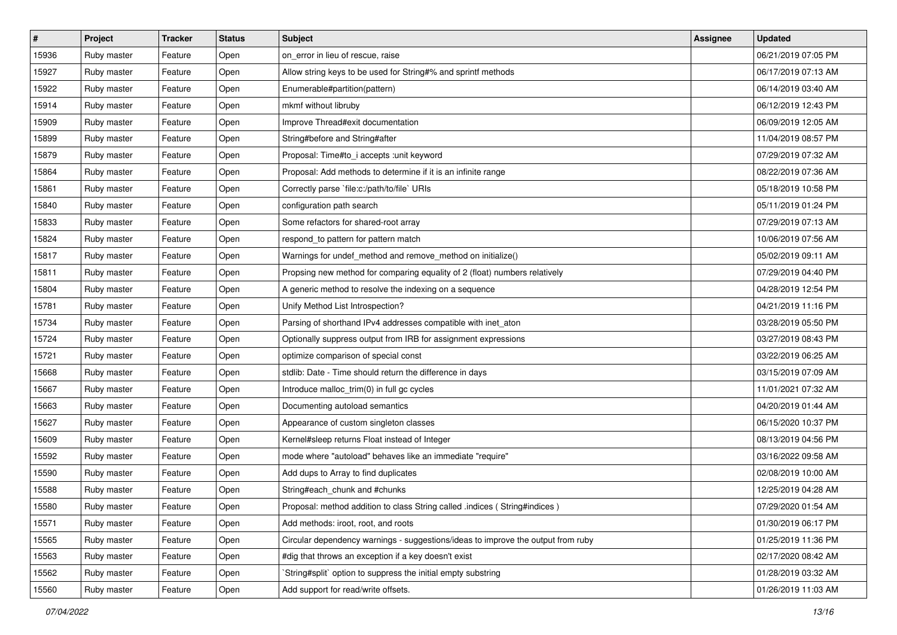| $\vert$ # | Project     | <b>Tracker</b> | <b>Status</b> | Subject                                                                          | <b>Assignee</b> | <b>Updated</b>      |
|-----------|-------------|----------------|---------------|----------------------------------------------------------------------------------|-----------------|---------------------|
| 15936     | Ruby master | Feature        | Open          | on error in lieu of rescue, raise                                                |                 | 06/21/2019 07:05 PM |
| 15927     | Ruby master | Feature        | Open          | Allow string keys to be used for String#% and sprintf methods                    |                 | 06/17/2019 07:13 AM |
| 15922     | Ruby master | Feature        | Open          | Enumerable#partition(pattern)                                                    |                 | 06/14/2019 03:40 AM |
| 15914     | Ruby master | Feature        | Open          | mkmf without libruby                                                             |                 | 06/12/2019 12:43 PM |
| 15909     | Ruby master | Feature        | Open          | Improve Thread#exit documentation                                                |                 | 06/09/2019 12:05 AM |
| 15899     | Ruby master | Feature        | Open          | String#before and String#after                                                   |                 | 11/04/2019 08:57 PM |
| 15879     | Ruby master | Feature        | Open          | Proposal: Time#to_i accepts : unit keyword                                       |                 | 07/29/2019 07:32 AM |
| 15864     | Ruby master | Feature        | Open          | Proposal: Add methods to determine if it is an infinite range                    |                 | 08/22/2019 07:36 AM |
| 15861     | Ruby master | Feature        | Open          | Correctly parse `file:c:/path/to/file` URIs                                      |                 | 05/18/2019 10:58 PM |
| 15840     | Ruby master | Feature        | Open          | configuration path search                                                        |                 | 05/11/2019 01:24 PM |
| 15833     | Ruby master | Feature        | Open          | Some refactors for shared-root array                                             |                 | 07/29/2019 07:13 AM |
| 15824     | Ruby master | Feature        | Open          | respond_to pattern for pattern match                                             |                 | 10/06/2019 07:56 AM |
| 15817     | Ruby master | Feature        | Open          | Warnings for undef_method and remove_method on initialize()                      |                 | 05/02/2019 09:11 AM |
| 15811     | Ruby master | Feature        | Open          | Propsing new method for comparing equality of 2 (float) numbers relatively       |                 | 07/29/2019 04:40 PM |
| 15804     | Ruby master | Feature        | Open          | A generic method to resolve the indexing on a sequence                           |                 | 04/28/2019 12:54 PM |
| 15781     | Ruby master | Feature        | Open          | Unify Method List Introspection?                                                 |                 | 04/21/2019 11:16 PM |
| 15734     | Ruby master | Feature        | Open          | Parsing of shorthand IPv4 addresses compatible with inet_aton                    |                 | 03/28/2019 05:50 PM |
| 15724     | Ruby master | Feature        | Open          | Optionally suppress output from IRB for assignment expressions                   |                 | 03/27/2019 08:43 PM |
| 15721     | Ruby master | Feature        | Open          | optimize comparison of special const                                             |                 | 03/22/2019 06:25 AM |
| 15668     | Ruby master | Feature        | Open          | stdlib: Date - Time should return the difference in days                         |                 | 03/15/2019 07:09 AM |
| 15667     | Ruby master | Feature        | Open          | Introduce malloc_trim(0) in full gc cycles                                       |                 | 11/01/2021 07:32 AM |
| 15663     | Ruby master | Feature        | Open          | Documenting autoload semantics                                                   |                 | 04/20/2019 01:44 AM |
| 15627     | Ruby master | Feature        | Open          | Appearance of custom singleton classes                                           |                 | 06/15/2020 10:37 PM |
| 15609     | Ruby master | Feature        | Open          | Kernel#sleep returns Float instead of Integer                                    |                 | 08/13/2019 04:56 PM |
| 15592     | Ruby master | Feature        | Open          | mode where "autoload" behaves like an immediate "require"                        |                 | 03/16/2022 09:58 AM |
| 15590     | Ruby master | Feature        | Open          | Add dups to Array to find duplicates                                             |                 | 02/08/2019 10:00 AM |
| 15588     | Ruby master | Feature        | Open          | String#each_chunk and #chunks                                                    |                 | 12/25/2019 04:28 AM |
| 15580     | Ruby master | Feature        | Open          | Proposal: method addition to class String called .indices ( String#indices )     |                 | 07/29/2020 01:54 AM |
| 15571     | Ruby master | Feature        | Open          | Add methods: iroot, root, and roots                                              |                 | 01/30/2019 06:17 PM |
| 15565     | Ruby master | Feature        | Open          | Circular dependency warnings - suggestions/ideas to improve the output from ruby |                 | 01/25/2019 11:36 PM |
| 15563     | Ruby master | Feature        | Open          | #dig that throws an exception if a key doesn't exist                             |                 | 02/17/2020 08:42 AM |
| 15562     | Ruby master | Feature        | Open          | `String#split` option to suppress the initial empty substring                    |                 | 01/28/2019 03:32 AM |
| 15560     | Ruby master | Feature        | Open          | Add support for read/write offsets.                                              |                 | 01/26/2019 11:03 AM |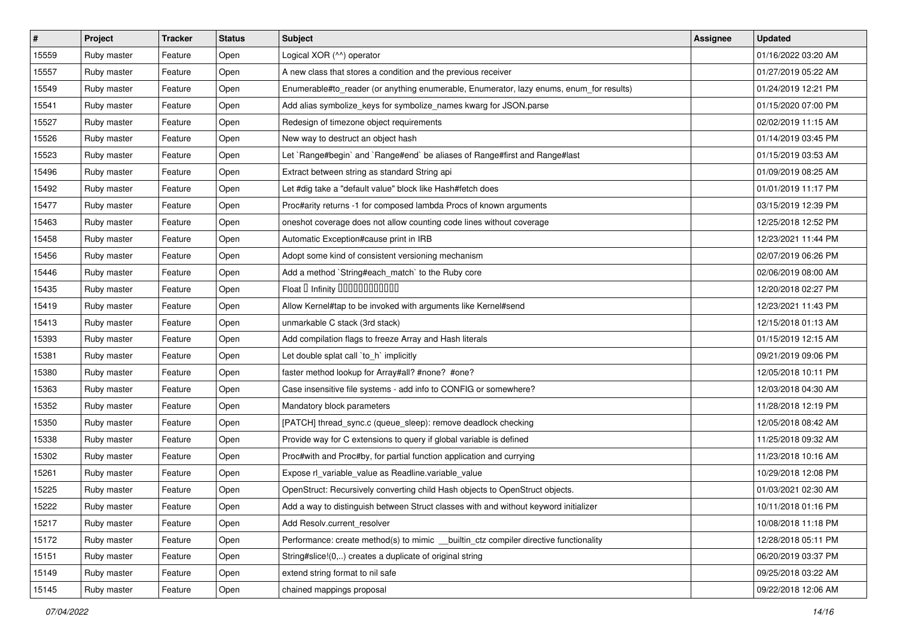| $\vert$ # | Project     | <b>Tracker</b> | <b>Status</b> | Subject                                                                                 | <b>Assignee</b> | <b>Updated</b>      |
|-----------|-------------|----------------|---------------|-----------------------------------------------------------------------------------------|-----------------|---------------------|
| 15559     | Ruby master | Feature        | Open          | Logical XOR (^^) operator                                                               |                 | 01/16/2022 03:20 AM |
| 15557     | Ruby master | Feature        | Open          | A new class that stores a condition and the previous receiver                           |                 | 01/27/2019 05:22 AM |
| 15549     | Ruby master | Feature        | Open          | Enumerable#to_reader (or anything enumerable, Enumerator, lazy enums, enum_for results) |                 | 01/24/2019 12:21 PM |
| 15541     | Ruby master | Feature        | Open          | Add alias symbolize_keys for symbolize_names kwarg for JSON.parse                       |                 | 01/15/2020 07:00 PM |
| 15527     | Ruby master | Feature        | Open          | Redesign of timezone object requirements                                                |                 | 02/02/2019 11:15 AM |
| 15526     | Ruby master | Feature        | Open          | New way to destruct an object hash                                                      |                 | 01/14/2019 03:45 PM |
| 15523     | Ruby master | Feature        | Open          | Let `Range#begin` and `Range#end` be aliases of Range#first and Range#last              |                 | 01/15/2019 03:53 AM |
| 15496     | Ruby master | Feature        | Open          | Extract between string as standard String api                                           |                 | 01/09/2019 08:25 AM |
| 15492     | Ruby master | Feature        | Open          | Let #dig take a "default value" block like Hash#fetch does                              |                 | 01/01/2019 11:17 PM |
| 15477     | Ruby master | Feature        | Open          | Proc#arity returns -1 for composed lambda Procs of known arguments                      |                 | 03/15/2019 12:39 PM |
| 15463     | Ruby master | Feature        | Open          | oneshot coverage does not allow counting code lines without coverage                    |                 | 12/25/2018 12:52 PM |
| 15458     | Ruby master | Feature        | Open          | Automatic Exception#cause print in IRB                                                  |                 | 12/23/2021 11:44 PM |
| 15456     | Ruby master | Feature        | Open          | Adopt some kind of consistent versioning mechanism                                      |                 | 02/07/2019 06:26 PM |
| 15446     | Ruby master | Feature        | Open          | Add a method `String#each_match` to the Ruby core                                       |                 | 02/06/2019 08:00 AM |
| 15435     | Ruby master | Feature        | Open          | Float D Infinity 000000000000                                                           |                 | 12/20/2018 02:27 PM |
| 15419     | Ruby master | Feature        | Open          | Allow Kernel#tap to be invoked with arguments like Kernel#send                          |                 | 12/23/2021 11:43 PM |
| 15413     | Ruby master | Feature        | Open          | unmarkable C stack (3rd stack)                                                          |                 | 12/15/2018 01:13 AM |
| 15393     | Ruby master | Feature        | Open          | Add compilation flags to freeze Array and Hash literals                                 |                 | 01/15/2019 12:15 AM |
| 15381     | Ruby master | Feature        | Open          | Let double splat call `to_h` implicitly                                                 |                 | 09/21/2019 09:06 PM |
| 15380     | Ruby master | Feature        | Open          | faster method lookup for Array#all? #none? #one?                                        |                 | 12/05/2018 10:11 PM |
| 15363     | Ruby master | Feature        | Open          | Case insensitive file systems - add info to CONFIG or somewhere?                        |                 | 12/03/2018 04:30 AM |
| 15352     | Ruby master | Feature        | Open          | Mandatory block parameters                                                              |                 | 11/28/2018 12:19 PM |
| 15350     | Ruby master | Feature        | Open          | [PATCH] thread_sync.c (queue_sleep): remove deadlock checking                           |                 | 12/05/2018 08:42 AM |
| 15338     | Ruby master | Feature        | Open          | Provide way for C extensions to query if global variable is defined                     |                 | 11/25/2018 09:32 AM |
| 15302     | Ruby master | Feature        | Open          | Proc#with and Proc#by, for partial function application and currying                    |                 | 11/23/2018 10:16 AM |
| 15261     | Ruby master | Feature        | Open          | Expose rl_variable_value as Readline.variable_value                                     |                 | 10/29/2018 12:08 PM |
| 15225     | Ruby master | Feature        | Open          | OpenStruct: Recursively converting child Hash objects to OpenStruct objects.            |                 | 01/03/2021 02:30 AM |
| 15222     | Ruby master | Feature        | Open          | Add a way to distinguish between Struct classes with and without keyword initializer    |                 | 10/11/2018 01:16 PM |
| 15217     | Ruby master | Feature        | Open          | Add Resolv.current resolver                                                             |                 | 10/08/2018 11:18 PM |
| 15172     | Ruby master | Feature        | Open          | Performance: create method(s) to mimic _builtin_ctz compiler directive functionality    |                 | 12/28/2018 05:11 PM |
| 15151     | Ruby master | Feature        | Open          | String#slice!(0,) creates a duplicate of original string                                |                 | 06/20/2019 03:37 PM |
| 15149     | Ruby master | Feature        | Open          | extend string format to nil safe                                                        |                 | 09/25/2018 03:22 AM |
| 15145     | Ruby master | Feature        | Open          | chained mappings proposal                                                               |                 | 09/22/2018 12:06 AM |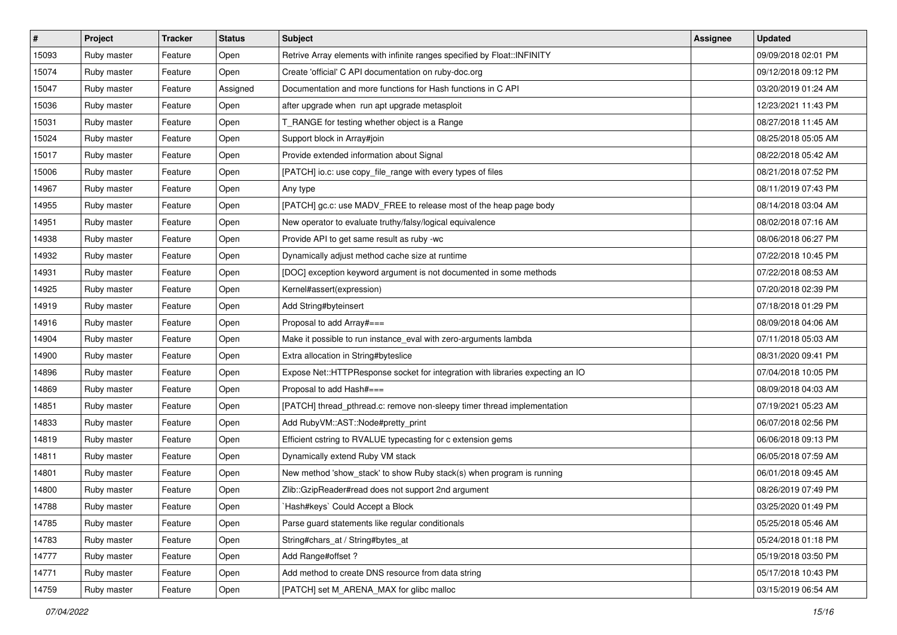| $\vert$ # | Project     | <b>Tracker</b> | <b>Status</b> | Subject                                                                        | <b>Assignee</b> | <b>Updated</b>      |
|-----------|-------------|----------------|---------------|--------------------------------------------------------------------------------|-----------------|---------------------|
| 15093     | Ruby master | Feature        | Open          | Retrive Array elements with infinite ranges specified by Float::INFINITY       |                 | 09/09/2018 02:01 PM |
| 15074     | Ruby master | Feature        | Open          | Create 'official' C API documentation on ruby-doc.org                          |                 | 09/12/2018 09:12 PM |
| 15047     | Ruby master | Feature        | Assigned      | Documentation and more functions for Hash functions in C API                   |                 | 03/20/2019 01:24 AM |
| 15036     | Ruby master | Feature        | Open          | after upgrade when run apt upgrade metasploit                                  |                 | 12/23/2021 11:43 PM |
| 15031     | Ruby master | Feature        | Open          | T_RANGE for testing whether object is a Range                                  |                 | 08/27/2018 11:45 AM |
| 15024     | Ruby master | Feature        | Open          | Support block in Array#join                                                    |                 | 08/25/2018 05:05 AM |
| 15017     | Ruby master | Feature        | Open          | Provide extended information about Signal                                      |                 | 08/22/2018 05:42 AM |
| 15006     | Ruby master | Feature        | Open          | [PATCH] io.c: use copy_file_range with every types of files                    |                 | 08/21/2018 07:52 PM |
| 14967     | Ruby master | Feature        | Open          | Any type                                                                       |                 | 08/11/2019 07:43 PM |
| 14955     | Ruby master | Feature        | Open          | [PATCH] gc.c: use MADV_FREE to release most of the heap page body              |                 | 08/14/2018 03:04 AM |
| 14951     | Ruby master | Feature        | Open          | New operator to evaluate truthy/falsy/logical equivalence                      |                 | 08/02/2018 07:16 AM |
| 14938     | Ruby master | Feature        | Open          | Provide API to get same result as ruby -wc                                     |                 | 08/06/2018 06:27 PM |
| 14932     | Ruby master | Feature        | Open          | Dynamically adjust method cache size at runtime                                |                 | 07/22/2018 10:45 PM |
| 14931     | Ruby master | Feature        | Open          | [DOC] exception keyword argument is not documented in some methods             |                 | 07/22/2018 08:53 AM |
| 14925     | Ruby master | Feature        | Open          | Kernel#assert(expression)                                                      |                 | 07/20/2018 02:39 PM |
| 14919     | Ruby master | Feature        | Open          | Add String#byteinsert                                                          |                 | 07/18/2018 01:29 PM |
| 14916     | Ruby master | Feature        | Open          | Proposal to add Array#===                                                      |                 | 08/09/2018 04:06 AM |
| 14904     | Ruby master | Feature        | Open          | Make it possible to run instance_eval with zero-arguments lambda               |                 | 07/11/2018 05:03 AM |
| 14900     | Ruby master | Feature        | Open          | Extra allocation in String#byteslice                                           |                 | 08/31/2020 09:41 PM |
| 14896     | Ruby master | Feature        | Open          | Expose Net::HTTPResponse socket for integration with libraries expecting an IO |                 | 07/04/2018 10:05 PM |
| 14869     | Ruby master | Feature        | Open          | Proposal to add Hash#===                                                       |                 | 08/09/2018 04:03 AM |
| 14851     | Ruby master | Feature        | Open          | [PATCH] thread_pthread.c: remove non-sleepy timer thread implementation        |                 | 07/19/2021 05:23 AM |
| 14833     | Ruby master | Feature        | Open          | Add RubyVM::AST::Node#pretty_print                                             |                 | 06/07/2018 02:56 PM |
| 14819     | Ruby master | Feature        | Open          | Efficient cstring to RVALUE typecasting for c extension gems                   |                 | 06/06/2018 09:13 PM |
| 14811     | Ruby master | Feature        | Open          | Dynamically extend Ruby VM stack                                               |                 | 06/05/2018 07:59 AM |
| 14801     | Ruby master | Feature        | Open          | New method 'show_stack' to show Ruby stack(s) when program is running          |                 | 06/01/2018 09:45 AM |
| 14800     | Ruby master | Feature        | Open          | Zlib::GzipReader#read does not support 2nd argument                            |                 | 08/26/2019 07:49 PM |
| 14788     | Ruby master | Feature        | Open          | `Hash#keys` Could Accept a Block                                               |                 | 03/25/2020 01:49 PM |
| 14785     | Ruby master | Feature        | Open          | Parse guard statements like regular conditionals                               |                 | 05/25/2018 05:46 AM |
| 14783     | Ruby master | Feature        | Open          | String#chars at / String#bytes at                                              |                 | 05/24/2018 01:18 PM |
| 14777     | Ruby master | Feature        | Open          | Add Range#offset?                                                              |                 | 05/19/2018 03:50 PM |
| 14771     | Ruby master | Feature        | Open          | Add method to create DNS resource from data string                             |                 | 05/17/2018 10:43 PM |
| 14759     | Ruby master | Feature        | Open          | [PATCH] set M_ARENA_MAX for glibc malloc                                       |                 | 03/15/2019 06:54 AM |